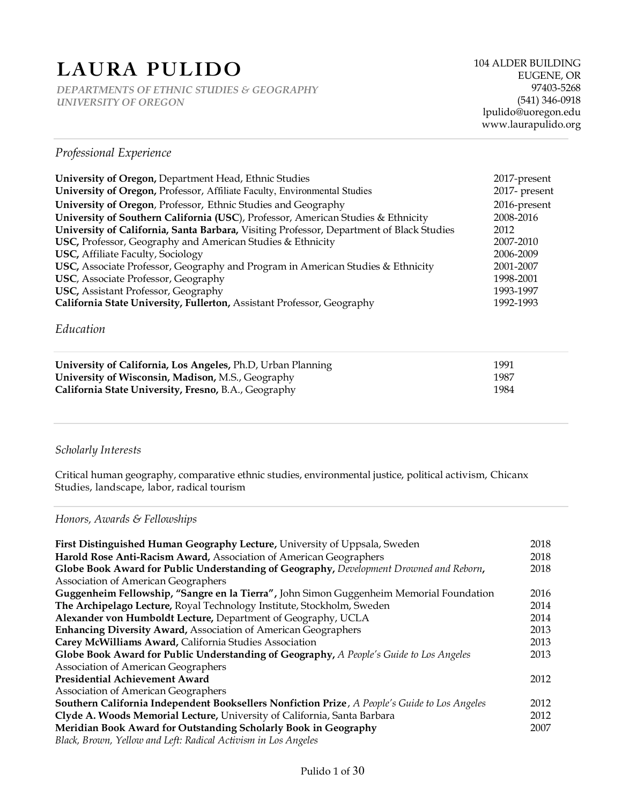# **LAURA PULIDO**

*DEPARTMENTS OF ETHNIC STUDIES & GEOGRAPHY UNIVERSITY OF OREGON*

## *Professional Experience*

| University of Oregon, Department Head, Ethnic Studies                                      | 2017-present  |
|--------------------------------------------------------------------------------------------|---------------|
| University of Oregon, Professor, Affiliate Faculty, Environmental Studies                  | 2017- present |
| University of Oregon, Professor, Ethnic Studies and Geography                              | 2016-present  |
| University of Southern California (USC), Professor, American Studies & Ethnicity           | 2008-2016     |
| University of California, Santa Barbara, Visiting Professor, Department of Black Studies   | 2012          |
| USC, Professor, Geography and American Studies & Ethnicity                                 | 2007-2010     |
| <b>USC, Affiliate Faculty, Sociology</b>                                                   | 2006-2009     |
| <b>USC, Associate Professor, Geography and Program in American Studies &amp; Ethnicity</b> | 2001-2007     |
| <b>USC</b> , Associate Professor, Geography                                                | 1998-2001     |
| <b>USC, Assistant Professor, Geography</b>                                                 | 1993-1997     |
| California State University, Fullerton, Assistant Professor, Geography                     | 1992-1993     |

## *Education*

| University of California, Los Angeles, Ph.D, Urban Planning | 1991 |
|-------------------------------------------------------------|------|
| University of Wisconsin, Madison, M.S., Geography           | 1987 |
| California State University, Fresno, B.A., Geography        | 1984 |

## *Scholarly Interests*

Critical human geography, comparative ethnic studies, environmental justice, political activism, Chicanx Studies, landscape, labor, radical tourism

## *Honors, Awards & Fellowships*

| First Distinguished Human Geography Lecture, University of Uppsala, Sweden                    | 2018 |
|-----------------------------------------------------------------------------------------------|------|
| Harold Rose Anti-Racism Award, Association of American Geographers                            | 2018 |
| Globe Book Award for Public Understanding of Geography, Development Drowned and Reborn,       | 2018 |
| <b>Association of American Geographers</b>                                                    |      |
| Guggenheim Fellowship, "Sangre en la Tierra", John Simon Guggenheim Memorial Foundation       | 2016 |
| The Archipelago Lecture, Royal Technology Institute, Stockholm, Sweden                        | 2014 |
| Alexander von Humboldt Lecture, Department of Geography, UCLA                                 | 2014 |
| <b>Enhancing Diversity Award, Association of American Geographers</b>                         | 2013 |
| Carey McWilliams Award, California Studies Association                                        | 2013 |
| Globe Book Award for Public Understanding of Geography, A People's Guide to Los Angeles       | 2013 |
| <b>Association of American Geographers</b>                                                    |      |
| <b>Presidential Achievement Award</b>                                                         | 2012 |
| Association of American Geographers                                                           |      |
| Southern California Independent Booksellers Nonfiction Prize, A People's Guide to Los Angeles | 2012 |
| Clyde A. Woods Memorial Lecture, University of California, Santa Barbara                      | 2012 |
| Meridian Book Award for Outstanding Scholarly Book in Geography                               | 2007 |
| Black, Brown, Yellow and Left: Radical Activism in Los Angeles                                |      |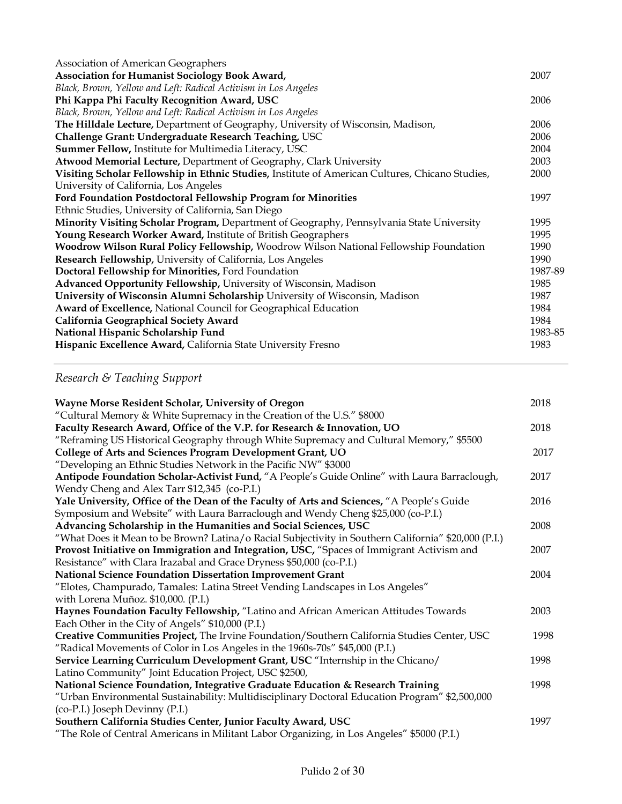| Association of American Geographers                                                             |         |
|-------------------------------------------------------------------------------------------------|---------|
| <b>Association for Humanist Sociology Book Award,</b>                                           | 2007    |
| Black, Brown, Yellow and Left: Radical Activism in Los Angeles                                  |         |
| Phi Kappa Phi Faculty Recognition Award, USC                                                    | 2006    |
| Black, Brown, Yellow and Left: Radical Activism in Los Angeles                                  |         |
| The Hilldale Lecture, Department of Geography, University of Wisconsin, Madison,                | 2006    |
| Challenge Grant: Undergraduate Research Teaching, USC                                           | 2006    |
| Summer Fellow, Institute for Multimedia Literacy, USC                                           | 2004    |
| Atwood Memorial Lecture, Department of Geography, Clark University                              | 2003    |
| Visiting Scholar Fellowship in Ethnic Studies, Institute of American Cultures, Chicano Studies, | 2000    |
| University of California, Los Angeles                                                           |         |
| Ford Foundation Postdoctoral Fellowship Program for Minorities                                  | 1997    |
| Ethnic Studies, University of California, San Diego                                             |         |
| Minority Visiting Scholar Program, Department of Geography, Pennsylvania State University       | 1995    |
| Young Research Worker Award, Institute of British Geographers                                   | 1995    |
| Woodrow Wilson Rural Policy Fellowship, Woodrow Wilson National Fellowship Foundation           | 1990    |
| Research Fellowship, University of California, Los Angeles                                      | 1990    |
| Doctoral Fellowship for Minorities, Ford Foundation                                             | 1987-89 |
| Advanced Opportunity Fellowship, University of Wisconsin, Madison                               | 1985    |
| University of Wisconsin Alumni Scholarship University of Wisconsin, Madison                     | 1987    |
| Award of Excellence, National Council for Geographical Education                                | 1984    |
| California Geographical Society Award                                                           | 1984    |
| National Hispanic Scholarship Fund                                                              | 1983-85 |
| Hispanic Excellence Award, California State University Fresno                                   | 1983    |
|                                                                                                 |         |

## *Research & Teaching Support*

| Wayne Morse Resident Scholar, University of Oregon                                                   | 2018 |
|------------------------------------------------------------------------------------------------------|------|
| "Cultural Memory & White Supremacy in the Creation of the U.S." \$8000                               |      |
| Faculty Research Award, Office of the V.P. for Research & Innovation, UO                             | 2018 |
| "Reframing US Historical Geography through White Supremacy and Cultural Memory," \$5500              |      |
| College of Arts and Sciences Program Development Grant, UO                                           | 2017 |
| "Developing an Ethnic Studies Network in the Pacific NW" \$3000                                      |      |
| Antipode Foundation Scholar-Activist Fund, "A People's Guide Online" with Laura Barraclough,         | 2017 |
| Wendy Cheng and Alex Tarr \$12,345 (co-P.I.)                                                         |      |
| Yale University, Office of the Dean of the Faculty of Arts and Sciences, "A People's Guide           | 2016 |
| Symposium and Website" with Laura Barraclough and Wendy Cheng \$25,000 (co-P.I.)                     |      |
| Advancing Scholarship in the Humanities and Social Sciences, USC                                     | 2008 |
| "What Does it Mean to be Brown? Latina/o Racial Subjectivity in Southern California" \$20,000 (P.I.) |      |
| Provost Initiative on Immigration and Integration, USC, "Spaces of Immigrant Activism and            | 2007 |
| Resistance" with Clara Irazabal and Grace Dryness \$50,000 (co-P.I.)                                 |      |
| National Science Foundation Dissertation Improvement Grant                                           | 2004 |
| "Elotes, Champurado, Tamales: Latina Street Vending Landscapes in Los Angeles"                       |      |
| with Lorena Muñoz. \$10,000. (P.I.)                                                                  |      |
| Haynes Foundation Faculty Fellowship, "Latino and African American Attitudes Towards                 | 2003 |
| Each Other in the City of Angels" \$10,000 (P.I.)                                                    |      |
| Creative Communities Project, The Irvine Foundation/Southern California Studies Center, USC          | 1998 |
| "Radical Movements of Color in Los Angeles in the 1960s-70s" \$45,000 (P.I.)                         |      |
| Service Learning Curriculum Development Grant, USC "Internship in the Chicano/                       | 1998 |
| Latino Community" Joint Education Project, USC \$2500,                                               |      |
| National Science Foundation, Integrative Graduate Education & Research Training                      | 1998 |
| "Urban Environmental Sustainability: Multidisciplinary Doctoral Education Program" \$2,500,000       |      |
| (co-P.I.) Joseph Devinny (P.I.)                                                                      |      |
| Southern California Studies Center, Junior Faculty Award, USC                                        | 1997 |
| "The Role of Central Americans in Militant Labor Organizing, in Los Angeles" \$5000 (P.I.)           |      |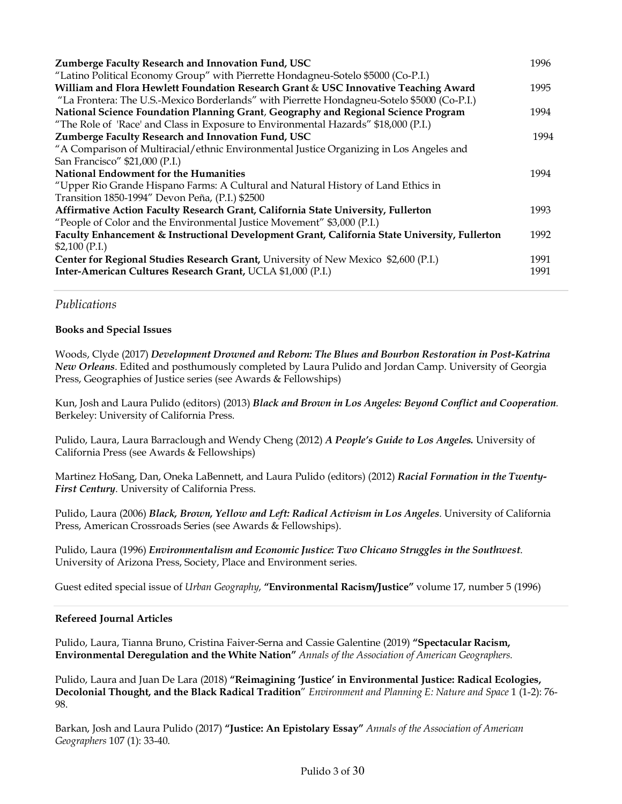| Zumberge Faculty Research and Innovation Fund, USC<br>"Latino Political Economy Group" with Pierrette Hondagneu-Sotelo \$5000 (Co-P.I.) | 1996 |
|-----------------------------------------------------------------------------------------------------------------------------------------|------|
| William and Flora Hewlett Foundation Research Grant & USC Innovative Teaching Award                                                     | 1995 |
| "La Frontera: The U.S.-Mexico Borderlands" with Pierrette Hondagneu-Sotelo \$5000 (Co-P.I.)                                             |      |
| National Science Foundation Planning Grant, Geography and Regional Science Program                                                      | 1994 |
| "The Role of 'Race' and Class in Exposure to Environmental Hazards" \$18,000 (P.I.)                                                     |      |
| Zumberge Faculty Research and Innovation Fund, USC                                                                                      | 1994 |
| "A Comparison of Multiracial/ethnic Environmental Justice Organizing in Los Angeles and                                                 |      |
| San Francisco" \$21,000 (P.I.)                                                                                                          |      |
| National Endowment for the Humanities                                                                                                   | 1994 |
| "Upper Rio Grande Hispano Farms: A Cultural and Natural History of Land Ethics in                                                       |      |
| Transition 1850-1994" Devon Peña, (P.I.) \$2500                                                                                         |      |
| Affirmative Action Faculty Research Grant, California State University, Fullerton                                                       | 1993 |
| "People of Color and the Environmental Justice Movement" \$3,000 (P.I.)                                                                 |      |
| Faculty Enhancement & Instructional Development Grant, California State University, Fullerton                                           | 1992 |
| $$2,100$ (P.I.)                                                                                                                         |      |
| Center for Regional Studies Research Grant, University of New Mexico \$2,600 (P.I.)                                                     | 1991 |
| Inter-American Cultures Research Grant, UCLA \$1,000 (P.I.)                                                                             | 1991 |
|                                                                                                                                         |      |

## *Publications*

## **Books and Special Issues**

Woods, Clyde (2017) *Development Drowned and Reborn: The Blues and Bourbon Restoration in Post-Katrina New Orleans*. Edited and posthumously completed by Laura Pulido and Jordan Camp. University of Georgia Press, Geographies of Justice series (see Awards & Fellowships)

Kun, Josh and Laura Pulido (editors) (2013) *Black and Brown in Los Angeles: Beyond Conflict and Cooperation.* Berkeley: University of California Press.

Pulido, Laura, Laura Barraclough and Wendy Cheng (2012) *A People's Guide to Los Angeles.* University of California Press (see Awards & Fellowships)

Martinez HoSang, Dan, Oneka LaBennett, and Laura Pulido (editors) (2012) *Racial Formation in the Twenty-First Century*. University of California Press.

Pulido, Laura (2006) *Black, Brown, Yellow and Left: Radical Activism in Los Angeles*. University of California Press, American Crossroads Series (see Awards & Fellowships).

Pulido, Laura (1996) *Environmentalism and Economic Justice: Two Chicano Struggles in the Southwest*. University of Arizona Press, Society, Place and Environment series.

Guest edited special issue of *Urban Geography*, **"Environmental Racism/Justice"** volume 17, number 5 (1996)

#### **Refereed Journal Articles**

Pulido, Laura, Tianna Bruno, Cristina Faiver-Serna and Cassie Galentine (2019) **"Spectacular Racism, Environmental Deregulation and the White Nation"** *Annals of the Association of American Geographers.*

Pulido, Laura and Juan De Lara (2018) **"Reimagining 'Justice' in Environmental Justice: Radical Ecologies, Decolonial Thought, and the Black Radical Tradition**" *Environment and Planning E: Nature and Space* 1 (1-2): 76- 98.

Barkan, Josh and Laura Pulido (2017) **"Justice: An Epistolary Essay"** *Annals of the Association of American Geographers* 107 (1): 33-40.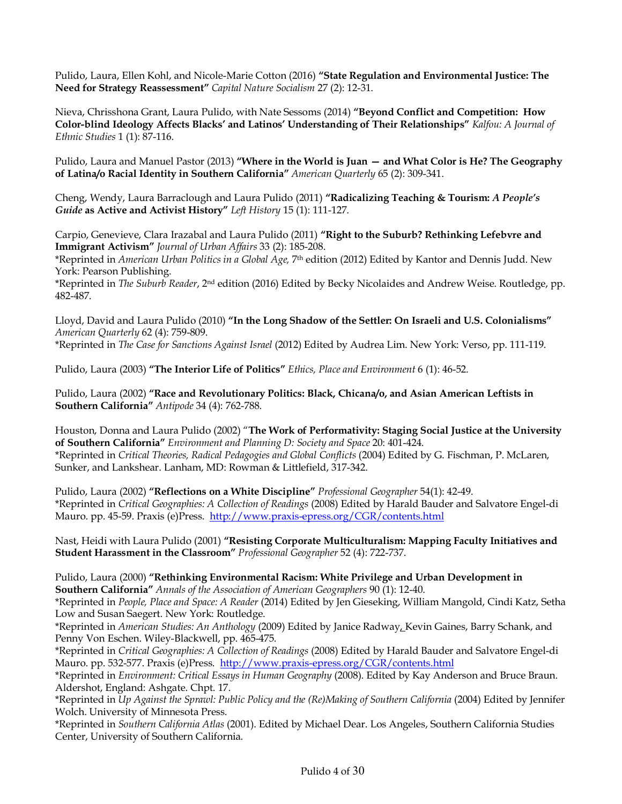Pulido, Laura, Ellen Kohl, and Nicole-Marie Cotton (2016) **"State Regulation and Environmental Justice: The Need for Strategy Reassessment"** *Capital Nature Socialism* 27 (2): 12-31.

Nieva, Chrisshona Grant, Laura Pulido, with Nate Sessoms (2014) **"Beyond Conflict and Competition: How Color-blind Ideology Affects Blacks' and Latinos' Understanding of Their Relationships"** *Kalfou: A Journal of Ethnic Studies* 1 (1): 87-116.

Pulido, Laura and Manuel Pastor (2013) **"Where in the World is Juan — and What Color is He? The Geography of Latina/o Racial Identity in Southern California"** *American Quarterly* 65 (2): 309-341.

Cheng, Wendy, Laura Barraclough and Laura Pulido (2011) **"Radicalizing Teaching & Tourism:** *A People's Guide* **as Active and Activist History"** *Left History* 15 (1): 111-127.

Carpio, Genevieve, Clara Irazabal and Laura Pulido (2011) **"Right to the Suburb? Rethinking Lefebvre and Immigrant Activism"** *Journal of Urban Affairs* 33 (2): 185-208. \*Reprinted in *American Urban Politics in a Global Age,* 7th edition (2012) Edited by Kantor and Dennis Judd. New

York: Pearson Publishing.

\*Reprinted in *The Suburb Reader*, 2nd edition (2016) Edited by Becky Nicolaides and Andrew Weise. Routledge, pp. 482-487.

Lloyd, David and Laura Pulido (2010) **"In the Long Shadow of the Settler: On Israeli and U.S. Colonialisms"** *American Quarterly* 62 (4): 759-809. \*Reprinted in *The Case for Sanctions Against Israel* (2012) Edited by Audrea Lim. New York: Verso, pp. 111-119.

Pulido, Laura (2003) **"The Interior Life of Politics"** *Ethics, Place and Environment* 6 (1): 46-52.

Pulido, Laura (2002) **"Race and Revolutionary Politics: Black, Chicana/o, and Asian American Leftists in Southern California"** *Antipode* 34 (4): 762-788.

Houston, Donna and Laura Pulido (2002) "**The Work of Performativity: Staging Social Justice at the University of Southern California"** *Environment and Planning D: Society and Space* 20: 401-424. \*Reprinted in *Critical Theories, Radical Pedagogies and Global Conflicts* (2004) Edited by G. Fischman, P. McLaren, Sunker, and Lankshear. Lanham, MD: Rowman & Littlefield, 317-342.

Pulido, Laura (2002) **"Reflections on a White Discipline"** *Professional Geographer* 54(1): 42-49. \*Reprinted in *Critical Geographies: A Collection of Readings* (2008) Edited by Harald Bauder and Salvatore Engel-di Mauro. pp. 45-59. Praxis (e)Press. http://www.praxis-epress.org/CGR/contents.html

Nast, Heidi with Laura Pulido (2001) **"Resisting Corporate Multiculturalism: Mapping Faculty Initiatives and Student Harassment in the Classroom"** *Professional Geographer* 52 (4): 722-737.

Pulido, Laura (2000) **"Rethinking Environmental Racism: White Privilege and Urban Development in Southern California"** *Annals of the Association of American Geographers* 90 (1): 12-40.

\*Reprinted in *People, Place and Space: A Reader* (2014) Edited by Jen Gieseking, William Mangold, Cindi Katz, Setha Low and Susan Saegert. New York: Routledge.

\*Reprinted in *American Studies: An Anthology* (2009) Edited by Janice Radway, Kevin Gaines, Barry Schank, and Penny Von Eschen. Wiley-Blackwell, pp. 465-475.

\*Reprinted in *Critical Geographies: A Collection of Readings* (2008) Edited by Harald Bauder and Salvatore Engel-di Mauro. pp. 532-577. Praxis (e)Press. http://www.praxis-epress.org/CGR/contents.html

\*Reprinted in *Environment: Critical Essays in Human Geography* (2008). Edited by Kay Anderson and Bruce Braun. Aldershot, England: Ashgate. Chpt. 17.

\*Reprinted in *Up Against the Sprawl: Public Policy and the (Re)Making of Southern California* (2004) Edited by Jennifer Wolch. University of Minnesota Press.

\*Reprinted in *Southern California Atlas* (2001). Edited by Michael Dear. Los Angeles, Southern California Studies Center, University of Southern California.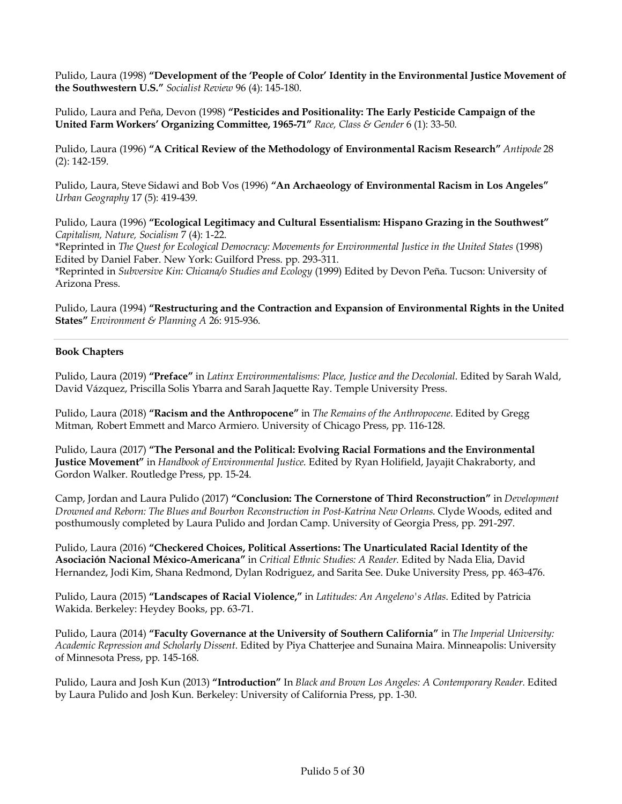Pulido, Laura (1998) **"Development of the 'People of Color' Identity in the Environmental Justice Movement of the Southwestern U.S."** *Socialist Review* 96 (4): 145-180.

Pulido, Laura and Peña, Devon (1998) **"Pesticides and Positionality: The Early Pesticide Campaign of the United Farm Workers' Organizing Committee, 1965-71"** *Race, Class & Gender* 6 (1): 33-50.

Pulido, Laura (1996) **"A Critical Review of the Methodology of Environmental Racism Research"** *Antipode* 28 (2): 142-159.

Pulido, Laura, Steve Sidawi and Bob Vos (1996) **"An Archaeology of Environmental Racism in Los Angeles"**  *Urban Geography* 17 (5): 419-439.

Pulido, Laura (1996) **"Ecological Legitimacy and Cultural Essentialism: Hispano Grazing in the Southwest"** *Capitalism, Nature, Socialism* 7 (4): 1-22.

\*Reprinted in *The Quest for Ecological Democracy: Movements for Environmental Justice in the United States* (1998) Edited by Daniel Faber. New York: Guilford Press. pp. 293-311.

\*Reprinted in *Subversive Kin: Chicana/o Studies and Ecology* (1999) Edited by Devon Peña. Tucson: University of Arizona Press.

Pulido, Laura (1994) **"Restructuring and the Contraction and Expansion of Environmental Rights in the United States"** *Environment & Planning A* 26: 915-936.

#### **Book Chapters**

Pulido, Laura (2019) **"Preface"** in *Latinx Environmentalisms: Place, Justice and the Decolonial*. Edited by Sarah Wald, David Vázquez, Priscilla Solis Ybarra and Sarah Jaquette Ray. Temple University Press.

Pulido, Laura (2018) **"Racism and the Anthropocene"** in *The Remains of the Anthropocene*. Edited by Gregg Mitman, Robert Emmett and Marco Armiero. University of Chicago Press, pp. 116-128.

Pulido, Laura (2017) **"The Personal and the Political: Evolving Racial Formations and the Environmental Justice Movement"** in *Handbook of Environmental Justice*. Edited by Ryan Holifield, Jayajit Chakraborty, and Gordon Walker. Routledge Press, pp. 15-24.

Camp, Jordan and Laura Pulido (2017) **"Conclusion: The Cornerstone of Third Reconstruction"** in *Development Drowned and Reborn: The Blues and Bourbon Reconstruction in Post-Katrina New Orleans*. Clyde Woods, edited and posthumously completed by Laura Pulido and Jordan Camp. University of Georgia Press, pp. 291-297.

Pulido, Laura (2016) **"Checkered Choices, Political Assertions: The Unarticulated Racial Identity of the Asociación Nacional México-Americana"** in *Critical Ethnic Studies: A Reader*. Edited by Nada Elia, David Hernandez, Jodi Kim, Shana Redmond, Dylan Rodriguez, and Sarita See. Duke University Press, pp. 463-476.

Pulido, Laura (2015) **"Landscapes of Racial Violence,"** in *Latitudes: An Angeleno's Atlas*. Edited by Patricia Wakida. Berkeley: Heydey Books, pp. 63-71.

Pulido, Laura (2014) **"Faculty Governance at the University of Southern California"** in *The Imperial University: Academic Repression and Scholarly Dissent*. Edited by Piya Chatterjee and Sunaina Maira. Minneapolis: University of Minnesota Press, pp. 145-168.

Pulido, Laura and Josh Kun (2013) **"Introduction"** In *Black and Brown Los Angeles: A Contemporary Reader.* Edited by Laura Pulido and Josh Kun. Berkeley: University of California Press, pp. 1-30.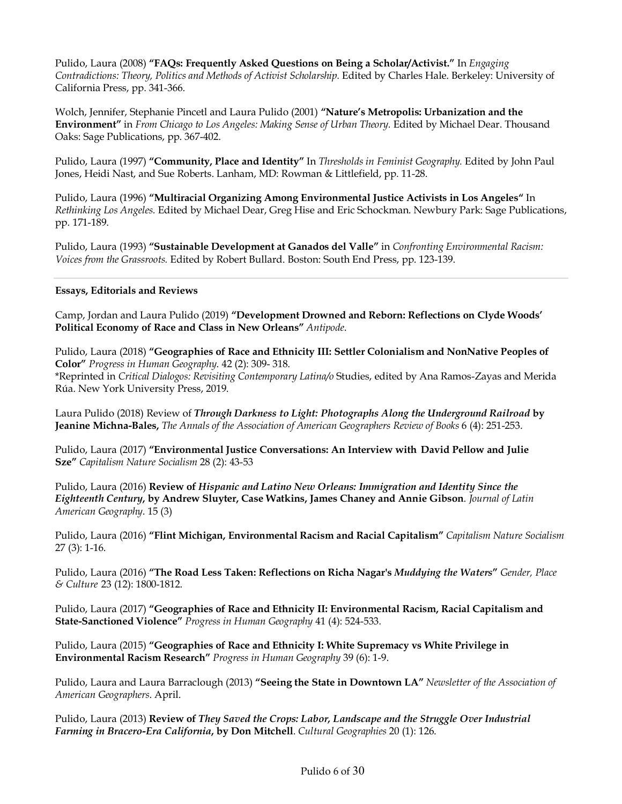Pulido, Laura (2008) **"FAQs: Frequently Asked Questions on Being a Scholar/Activist."** In *Engaging Contradictions: Theory, Politics and Methods of Activist Scholarship.* Edited by Charles Hale. Berkeley: University of California Press, pp. 341-366.

Wolch, Jennifer, Stephanie Pincetl and Laura Pulido (2001) **"Nature's Metropolis: Urbanization and the Environment"** in *From Chicago to Los Angeles: Making Sense of Urban Theory.* Edited by Michael Dear. Thousand Oaks: Sage Publications, pp. 367-402.

Pulido, Laura (1997) **"Community, Place and Identity"** In *Thresholds in Feminist Geography.* Edited by John Paul Jones, Heidi Nast, and Sue Roberts. Lanham, MD: Rowman & Littlefield, pp. 11-28.

Pulido, Laura (1996) **"Multiracial Organizing Among Environmental Justice Activists in Los Angeles"** In *Rethinking Los Angeles.* Edited by Michael Dear, Greg Hise and Eric Schockman. Newbury Park: Sage Publications, pp. 171-189.

Pulido, Laura (1993) **"Sustainable Development at Ganados del Valle"** in *Confronting Environmental Racism: Voices from the Grassroots.* Edited by Robert Bullard. Boston: South End Press, pp. 123-139.

#### **Essays, Editorials and Reviews**

Camp, Jordan and Laura Pulido (2019) **"Development Drowned and Reborn: Reflections on Clyde Woods' Political Economy of Race and Class in New Orleans"** *Antipode*.

Pulido, Laura (2018) **"Geographies of Race and Ethnicity III: Settler Colonialism and NonNative Peoples of Color"** *Progress in Human Geography*. 42 (2): 309- 318.

\*Reprinted in *Critical Dialogos: Revisiting Contemporary Latina/o* Studies, edited by Ana Ramos-Zayas and Merida Rúa. New York University Press, 2019.

Laura Pulido (2018) Review of *Through Darkness to Light: Photographs Along the Underground Railroad* **by Jeanine Michna-Bales,** *The Annals of the Association of American Geographers Review of Books* 6 (4): 251-253.

Pulido, Laura (2017) **"Environmental Justice Conversations: An Interview with David Pellow and Julie Sze"** *Capitalism Nature Socialism* 28 (2): 43-53

Pulido, Laura (2016) **Review of** *Hispanic and Latino New Orleans: Immigration and Identity Since the Eighteenth Century***, by Andrew Sluyter, Case Watkins, James Chaney and Annie Gibson**. *Journal of Latin American Geography*. 15 (3)

Pulido, Laura (2016) **"Flint Michigan, Environmental Racism and Racial Capitalism"** *Capitalism Nature Socialism* 27 (3): 1-16.

Pulido, Laura (2016) **"The Road Less Taken: Reflections on Richa Nagar's** *Muddying the Waters***"** *Gender, Place & Culture* 23 (12): 1800-1812.

Pulido, Laura (2017) **"Geographies of Race and Ethnicity II: Environmental Racism, Racial Capitalism and State-Sanctioned Violence"** *Progress in Human Geography* 41 (4): 524-533.

Pulido, Laura (2015) **"Geographies of Race and Ethnicity I: White Supremacy vs White Privilege in Environmental Racism Research"** *Progress in Human Geography* 39 (6): 1-9.

Pulido, Laura and Laura Barraclough (2013) **"Seeing the State in Downtown LA"** *Newsletter of the Association of American Geographers*. April.

Pulido, Laura (2013) **Review of** *They Saved the Crops: Labor, Landscape and the Struggle Over Industrial Farming in Bracero-Era California***, by Don Mitchell**. *Cultural Geographies* 20 (1): 126.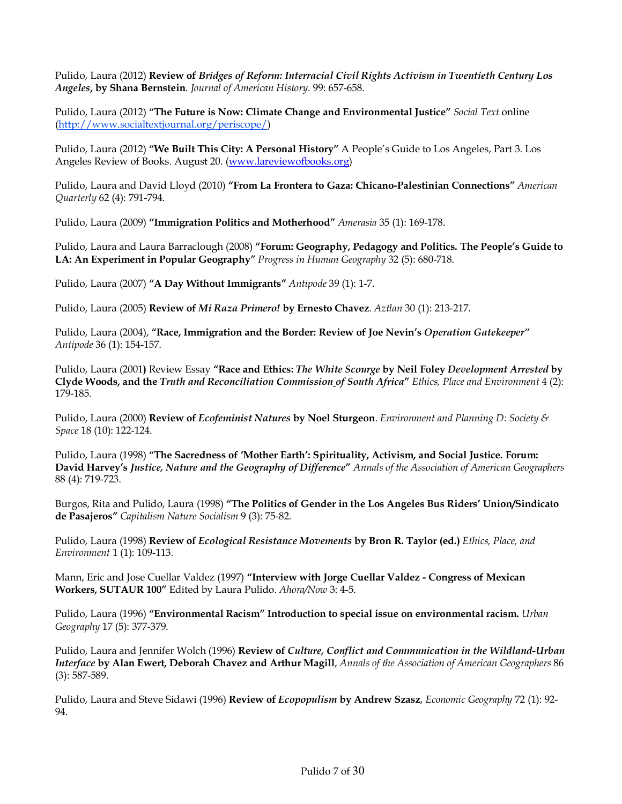Pulido, Laura (2012) **Review of** *Bridges of Reform: Interracial Civil Rights Activism in Twentieth Century Los Angeles***, by Shana Bernstein**. *Journal of American History*. 99: 657-658.

Pulido, Laura (2012) **"The Future is Now: Climate Change and Environmental Justice"** *Social Text* online (http://www.socialtextjournal.org/periscope/)

Pulido, Laura (2012) **"We Built This City: A Personal History"** A People's Guide to Los Angeles, Part 3. Los Angeles Review of Books. August 20. (www.lareviewofbooks.org)

Pulido, Laura and David Lloyd (2010) **"From La Frontera to Gaza: Chicano-Palestinian Connections"** *American Quarterly* 62 (4): 791-794.

Pulido, Laura (2009) **"Immigration Politics and Motherhood"** *Amerasia* 35 (1): 169-178.

Pulido, Laura and Laura Barraclough (2008) **"Forum: Geography, Pedagogy and Politics. The People's Guide to LA: An Experiment in Popular Geography"** *Progress in Human Geography* 32 (5): 680-718.

Pulido, Laura (2007) **"A Day Without Immigrants"** *Antipode* 39 (1): 1-7.

Pulido, Laura (2005) **Review of** *Mi Raza Primero!* **by Ernesto Chavez**. *Aztlan* 30 (1): 213-217.

Pulido, Laura (2004), **"Race, Immigration and the Border: Review of Joe Nevin's** *Operation Gatekeeper" Antipode* 36 (1): 154-157.

Pulido, Laura (2001**)** Review Essay **"Race and Ethics:** *The White Scourge* **by Neil Foley** *Development Arrested* **by Clyde Woods, and the** *Truth and Reconciliation Commission of South Africa***"** *Ethics, Place and Environment* 4 (2): 179-185.

Pulido, Laura (2000) **Review of** *Ecofeminist Natures* **by Noel Sturgeon**. *Environment and Planning D: Society & Space* 18 (10): 122-124.

Pulido, Laura (1998) **"The Sacredness of 'Mother Earth': Spirituality, Activism, and Social Justice. Forum: David Harvey's** *Justice, Nature and the Geography of Difference***"** *Annals of the Association of American Geographers* 88 (4): 719-723.

Burgos, Rita and Pulido, Laura (1998) **"The Politics of Gender in the Los Angeles Bus Riders' Union/Sindicato de Pasajeros"** *Capitalism Nature Socialism* 9 (3): 75-82.

Pulido, Laura (1998) **Review of** *Ecological Resistance Movements* **by Bron R. Taylor (ed.)** *Ethics, Place, and Environment* 1 (1): 109-113.

Mann, Eric and Jose Cuellar Valdez (1997) **"Interview with Jorge Cuellar Valdez - Congress of Mexican Workers, SUTAUR 100"** Edited by Laura Pulido. *Ahora/Now* 3: 4-5.

Pulido, Laura (1996) **"Environmental Racism" Introduction to special issue on environmental racism.** *Urban Geography* 17 (5): 377-379.

Pulido, Laura and Jennifer Wolch (1996) **Review of** *Culture, Conflict and Communication in the Wildland-Urban Interface* **by Alan Ewert, Deborah Chavez and Arthur Magill**, *Annals of the Association of American Geographers* 86 (3): 587-589.

Pulido, Laura and Steve Sidawi (1996) **Review of** *Ecopopulism* **by Andrew Szasz**, *Economic Geography* 72 (1): 92- 94.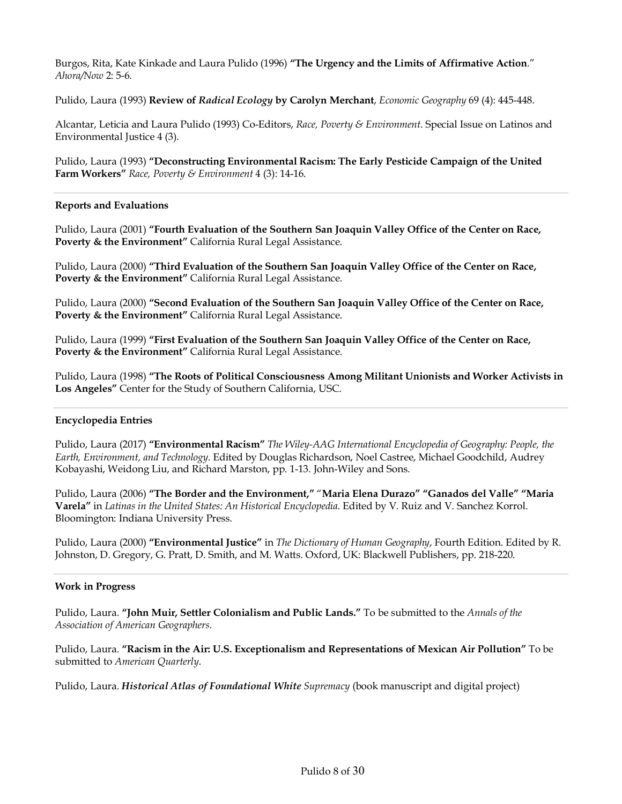Burgos, Rita, Kate Kinkade and Laura Pulido (1996) **"The Urgency and the Limits of Affirmative Action**." *Ahora/Now* 2: 5-6.

Pulido, Laura (1993) **Review of** *Radical Ecology* **by Carolyn Merchant**, *Economic Geography* 69 (4): 445-448.

Alcantar, Leticia and Laura Pulido (1993) Co-Editors, *Race, Poverty & Environment*. Special Issue on Latinos and Environmental Justice 4 (3).

Pulido, Laura (1993) **"Deconstructing Environmental Racism: The Early Pesticide Campaign of the United Farm Workers"** *Race, Poverty & Environment* 4 (3): 14-16.

#### **Reports and Evaluations**

Pulido, Laura (2001) **"Fourth Evaluation of the Southern San Joaquin Valley Office of the Center on Race, Poverty & the Environment"** California Rural Legal Assistance.

Pulido, Laura (2000) **"Third Evaluation of the Southern San Joaquin Valley Office of the Center on Race, Poverty & the Environment"** California Rural Legal Assistance.

Pulido, Laura (2000) **"Second Evaluation of the Southern San Joaquin Valley Office of the Center on Race, Poverty & the Environment"** California Rural Legal Assistance.

Pulido, Laura (1999) **"First Evaluation of the Southern San Joaquin Valley Office of the Center on Race, Poverty & the Environment"** California Rural Legal Assistance.

Pulido, Laura (1998) **"The Roots of Political Consciousness Among Militant Unionists and Worker Activists in Los Angeles"** Center for the Study of Southern California, USC.

#### **Encyclopedia Entries**

Pulido, Laura (2017) **"Environmental Racism"** *The Wiley-AAG International Encyclopedia of Geography: People, the Earth, Environment, and Technology*. Edited by Douglas Richardson, Noel Castree, Michael Goodchild, Audrey Kobayashi, Weidong Liu, and Richard Marston, pp. 1-13. John-Wiley and Sons.

Pulido, Laura (2006) **"The Border and the Environment,"** "**Maria Elena Durazo" "Ganados del Valle" "Maria Varela"** in *Latinas in the United States: An Historical Encyclopedia*. Edited by V. Ruiz and V. Sanchez Korrol. Bloomington: Indiana University Press.

Pulido, Laura (2000) **"Environmental Justice"** in *The Dictionary of Human Geography*, Fourth Edition. Edited by R. Johnston, D. Gregory, G. Pratt, D. Smith, and M. Watts. Oxford, UK: Blackwell Publishers, pp. 218-220.

#### **Work in Progress**

Pulido, Laura. **"John Muir, Settler Colonialism and Public Lands."** To be submitted to the *Annals of the Association of American Geographers*.

Pulido, Laura. **"Racism in the Air: U.S. Exceptionalism and Representations of Mexican Air Pollution"** To be submitted to *American Quarterly*.

Pulido, Laura. *Historical Atlas of Foundational White Supremacy* (book manuscript and digital project)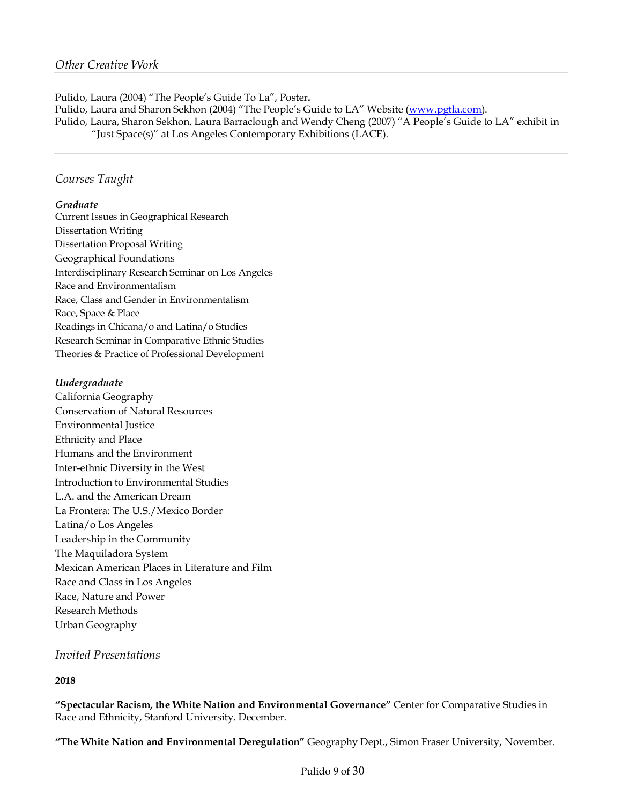Pulido, Laura (2004) "The People's Guide To La", Poster**.** Pulido, Laura and Sharon Sekhon (2004) "The People's Guide to LA" Website (www.pgtla.com). Pulido, Laura, Sharon Sekhon, Laura Barraclough and Wendy Cheng (2007) "A People's Guide to LA" exhibit in "Just Space(s)" at Los Angeles Contemporary Exhibitions (LACE).

## *Courses Taught*

#### *Graduate*

Current Issues in Geographical Research Dissertation Writing Dissertation Proposal Writing Geographical Foundations Interdisciplinary Research Seminar on Los Angeles Race and Environmentalism Race, Class and Gender in Environmentalism Race, Space & Place Readings in Chicana/o and Latina/o Studies Research Seminar in Comparative Ethnic Studies Theories & Practice of Professional Development

## *Undergraduate*

California Geography Conservation of Natural Resources Environmental Justice Ethnicity and Place Humans and the Environment Inter-ethnic Diversity in the West Introduction to Environmental Studies L.A. and the American Dream La Frontera: The U.S./Mexico Border Latina/o Los Angeles Leadership in the Community The Maquiladora System Mexican American Places in Literature and Film Race and Class in Los Angeles Race, Nature and Power Research Methods Urban Geography

## *Invited Presentations*

## **2018**

**"Spectacular Racism, the White Nation and Environmental Governance"** Center for Comparative Studies in Race and Ethnicity, Stanford University. December.

**"The White Nation and Environmental Deregulation"** Geography Dept., Simon Fraser University, November.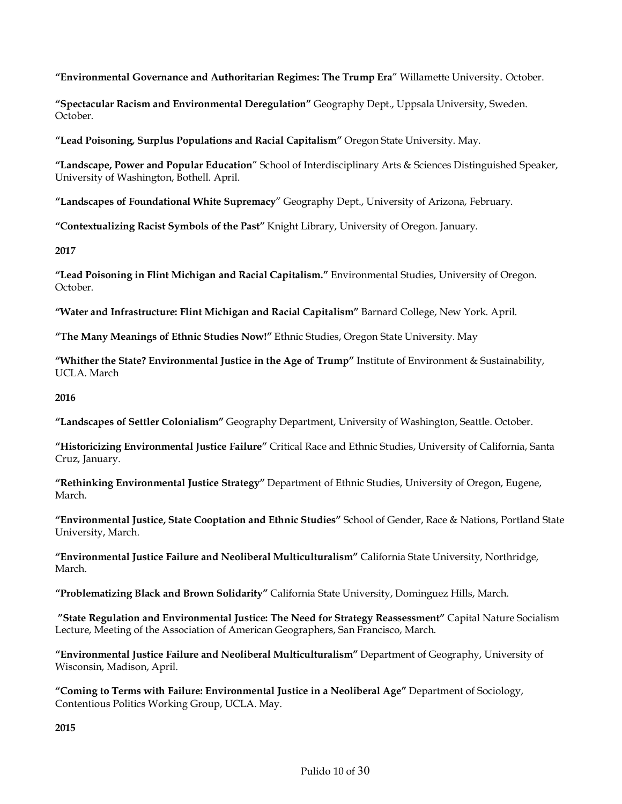**"Environmental Governance and Authoritarian Regimes: The Trump Era**" Willamette University. October.

**"Spectacular Racism and Environmental Deregulation"** Geography Dept., Uppsala University, Sweden. October.

**"Lead Poisoning, Surplus Populations and Racial Capitalism"** Oregon State University. May.

**"Landscape, Power and Popular Education**" School of Interdisciplinary Arts & Sciences Distinguished Speaker, University of Washington, Bothell. April.

**"Landscapes of Foundational White Supremacy**" Geography Dept., University of Arizona, February.

**"Contextualizing Racist Symbols of the Past"** Knight Library, University of Oregon. January.

**2017**

**"Lead Poisoning in Flint Michigan and Racial Capitalism."** Environmental Studies, University of Oregon. October.

**"Water and Infrastructure: Flint Michigan and Racial Capitalism"** Barnard College, New York. April.

**"The Many Meanings of Ethnic Studies Now!"** Ethnic Studies, Oregon State University. May

**"Whither the State? Environmental Justice in the Age of Trump"** Institute of Environment & Sustainability, UCLA. March

**2016**

**"Landscapes of Settler Colonialism"** Geography Department, University of Washington, Seattle. October.

**"Historicizing Environmental Justice Failure"** Critical Race and Ethnic Studies, University of California, Santa Cruz, January.

**"Rethinking Environmental Justice Strategy"** Department of Ethnic Studies, University of Oregon, Eugene, March.

**"Environmental Justice, State Cooptation and Ethnic Studies"** School of Gender, Race & Nations, Portland State University, March.

**"Environmental Justice Failure and Neoliberal Multiculturalism"** California State University, Northridge, March.

**"Problematizing Black and Brown Solidarity"** California State University, Dominguez Hills, March.

**"State Regulation and Environmental Justice: The Need for Strategy Reassessment"** Capital Nature Socialism Lecture, Meeting of the Association of American Geographers, San Francisco, March.

**"Environmental Justice Failure and Neoliberal Multiculturalism"** Department of Geography, University of Wisconsin, Madison, April.

**"Coming to Terms with Failure: Environmental Justice in a Neoliberal Age"** Department of Sociology, Contentious Politics Working Group, UCLA. May.

**2015**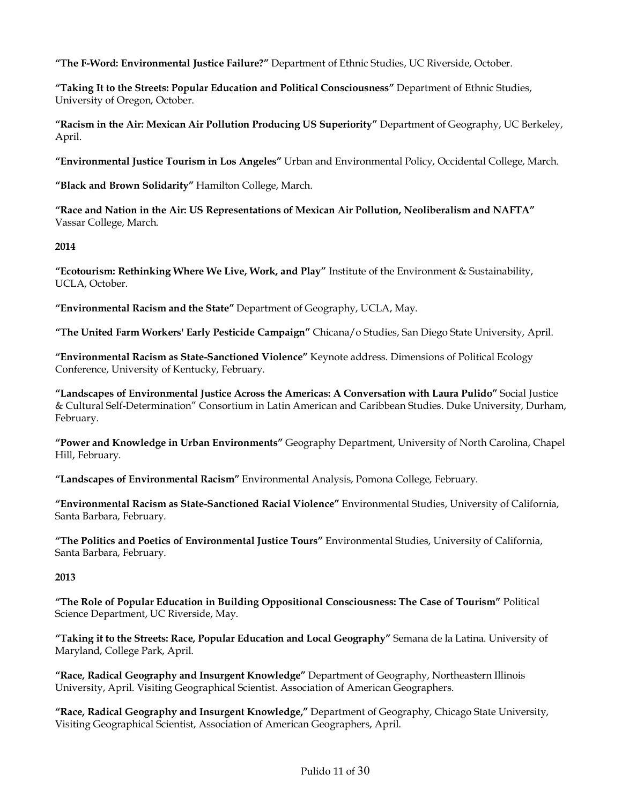**"The F-Word: Environmental Justice Failure?"** Department of Ethnic Studies, UC Riverside, October.

**"Taking It to the Streets: Popular Education and Political Consciousness"** Department of Ethnic Studies, University of Oregon, October.

**"Racism in the Air: Mexican Air Pollution Producing US Superiority"** Department of Geography, UC Berkeley, April.

**"Environmental Justice Tourism in Los Angeles"** Urban and Environmental Policy, Occidental College, March.

**"Black and Brown Solidarity"** Hamilton College, March.

**"Race and Nation in the Air: US Representations of Mexican Air Pollution, Neoliberalism and NAFTA"** Vassar College, March.

#### **2014**

**"Ecotourism: Rethinking Where We Live, Work, and Play"** Institute of the Environment & Sustainability, UCLA, October.

**"Environmental Racism and the State"** Department of Geography, UCLA, May.

**"The United Farm Workers' Early Pesticide Campaign"** Chicana/o Studies, San Diego State University, April.

**"Environmental Racism as State-Sanctioned Violence"** Keynote address. Dimensions of Political Ecology Conference, University of Kentucky, February.

**"Landscapes of Environmental Justice Across the Americas: A Conversation with Laura Pulido"** Social Justice & Cultural Self-Determination" Consortium in Latin American and Caribbean Studies. Duke University, Durham, February.

**"Power and Knowledge in Urban Environments"** Geography Department, University of North Carolina, Chapel Hill, February.

**"Landscapes of Environmental Racism"** Environmental Analysis, Pomona College, February.

**"Environmental Racism as State-Sanctioned Racial Violence"** Environmental Studies, University of California, Santa Barbara, February.

**"The Politics and Poetics of Environmental Justice Tours"** Environmental Studies, University of California, Santa Barbara, February.

## **2013**

**"The Role of Popular Education in Building Oppositional Consciousness: The Case of Tourism"** Political Science Department, UC Riverside, May.

**"Taking it to the Streets: Race, Popular Education and Local Geography"** Semana de la Latina. University of Maryland, College Park, April.

**"Race, Radical Geography and Insurgent Knowledge"** Department of Geography, Northeastern Illinois University, April. Visiting Geographical Scientist. Association of American Geographers.

**"Race, Radical Geography and Insurgent Knowledge,"** Department of Geography, Chicago State University, Visiting Geographical Scientist, Association of American Geographers, April.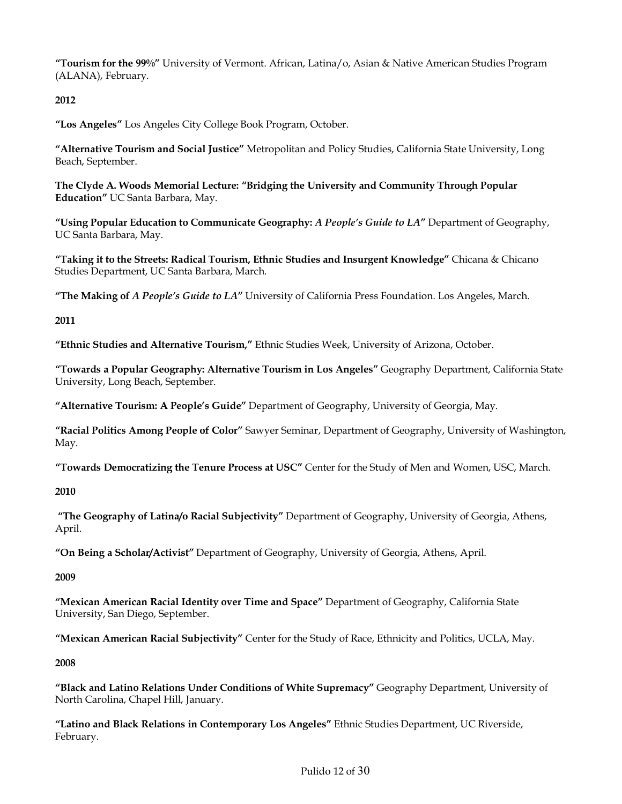**"Tourism for the 99%"** University of Vermont. African, Latina/o, Asian & Native American Studies Program (ALANA), February.

## **2012**

**"Los Angeles"** Los Angeles City College Book Program, October.

**"Alternative Tourism and Social Justice"** Metropolitan and Policy Studies, California State University, Long Beach, September.

**The Clyde A. Woods Memorial Lecture: "Bridging the University and Community Through Popular Education"** UC Santa Barbara, May.

**"Using Popular Education to Communicate Geography:** *A People's Guide to LA***"** Department of Geography, UC Santa Barbara, May.

**"Taking it to the Streets: Radical Tourism, Ethnic Studies and Insurgent Knowledge"** Chicana & Chicano Studies Department, UC Santa Barbara, March.

**"The Making of** *A People's Guide to LA***"** University of California Press Foundation. Los Angeles, March.

## **2011**

**"Ethnic Studies and Alternative Tourism,"** Ethnic Studies Week, University of Arizona, October.

**"Towards a Popular Geography: Alternative Tourism in Los Angeles"** Geography Department, California State University, Long Beach, September.

**"Alternative Tourism: A People's Guide"** Department of Geography, University of Georgia, May.

**"Racial Politics Among People of Color"** Sawyer Seminar, Department of Geography, University of Washington, May.

**"Towards Democratizing the Tenure Process at USC"** Center for the Study of Men and Women, USC, March.

**2010**

**"The Geography of Latina/o Racial Subjectivity"** Department of Geography, University of Georgia, Athens, April.

**"On Being a Scholar/Activist"** Department of Geography, University of Georgia, Athens, April.

#### **2009**

**"Mexican American Racial Identity over Time and Space"** Department of Geography, California State University, San Diego, September.

**"Mexican American Racial Subjectivity"** Center for the Study of Race, Ethnicity and Politics, UCLA, May.

**2008**

**"Black and Latino Relations Under Conditions of White Supremacy"** Geography Department, University of North Carolina, Chapel Hill, January.

**"Latino and Black Relations in Contemporary Los Angeles"** Ethnic Studies Department, UC Riverside, February.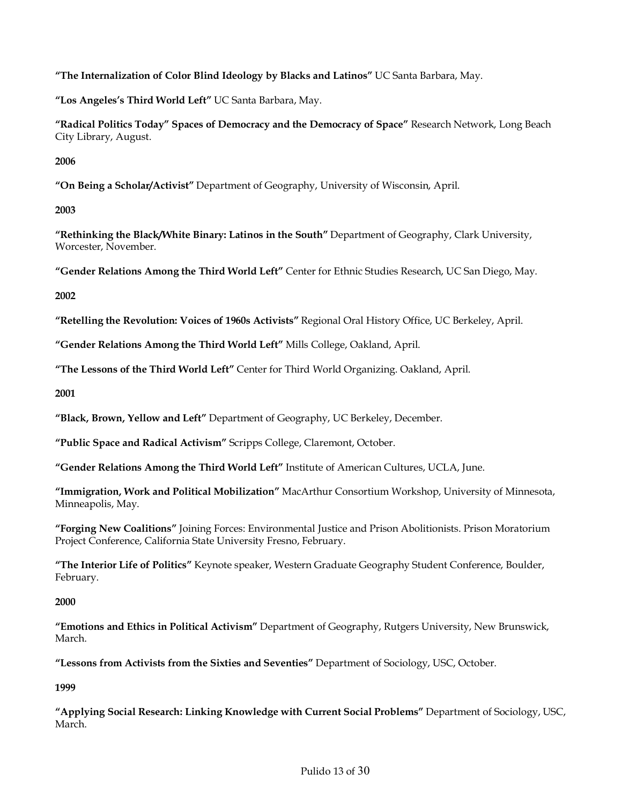**"The Internalization of Color Blind Ideology by Blacks and Latinos"** UC Santa Barbara, May.

**"Los Angeles's Third World Left"** UC Santa Barbara, May.

**"Radical Politics Today" Spaces of Democracy and the Democracy of Space"** Research Network, Long Beach City Library, August.

**2006**

**"On Being a Scholar/Activist"** Department of Geography, University of Wisconsin, April.

**2003**

**"Rethinking the Black/White Binary: Latinos in the South"** Department of Geography, Clark University, Worcester, November.

**"Gender Relations Among the Third World Left"** Center for Ethnic Studies Research, UC San Diego, May.

**2002**

**"Retelling the Revolution: Voices of 1960s Activists"** Regional Oral History Office, UC Berkeley, April.

**"Gender Relations Among the Third World Left"** Mills College, Oakland, April.

**"The Lessons of the Third World Left"** Center for Third World Organizing. Oakland, April.

**2001**

**"Black, Brown, Yellow and Left"** Department of Geography, UC Berkeley, December.

**"Public Space and Radical Activism"** Scripps College, Claremont, October.

**"Gender Relations Among the Third World Left"** Institute of American Cultures, UCLA, June.

**"Immigration, Work and Political Mobilization"** MacArthur Consortium Workshop, University of Minnesota, Minneapolis, May.

**"Forging New Coalitions"** Joining Forces: Environmental Justice and Prison Abolitionists. Prison Moratorium Project Conference, California State University Fresno, February.

**"The Interior Life of Politics"** Keynote speaker, Western Graduate Geography Student Conference, Boulder, February.

**2000**

**"Emotions and Ethics in Political Activism"** Department of Geography, Rutgers University, New Brunswick, March.

**"Lessons from Activists from the Sixties and Seventies"** Department of Sociology, USC, October.

**1999**

**"Applying Social Research: Linking Knowledge with Current Social Problems"** Department of Sociology, USC, March.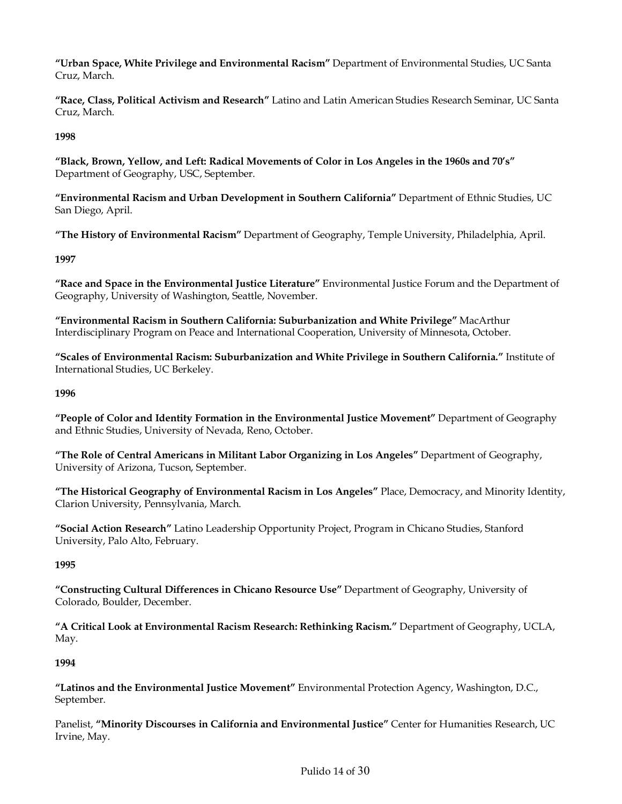**"Urban Space, White Privilege and Environmental Racism"** Department of Environmental Studies, UC Santa Cruz, March.

**"Race, Class, Political Activism and Research"** Latino and Latin American Studies Research Seminar, UC Santa Cruz, March.

## **1998**

**"Black, Brown, Yellow, and Left: Radical Movements of Color in Los Angeles in the 1960s and 70's"** Department of Geography, USC, September.

**"Environmental Racism and Urban Development in Southern California"** Department of Ethnic Studies, UC San Diego, April.

**"The History of Environmental Racism"** Department of Geography, Temple University, Philadelphia, April.

## **1997**

**"Race and Space in the Environmental Justice Literature"** Environmental Justice Forum and the Department of Geography, University of Washington, Seattle, November.

**"Environmental Racism in Southern California: Suburbanization and White Privilege"** MacArthur Interdisciplinary Program on Peace and International Cooperation, University of Minnesota, October.

**"Scales of Environmental Racism: Suburbanization and White Privilege in Southern California."** Institute of International Studies, UC Berkeley.

## **1996**

**"People of Color and Identity Formation in the Environmental Justice Movement"** Department of Geography and Ethnic Studies, University of Nevada, Reno, October.

**"The Role of Central Americans in Militant Labor Organizing in Los Angeles"** Department of Geography, University of Arizona, Tucson, September.

**"The Historical Geography of Environmental Racism in Los Angeles"** Place, Democracy, and Minority Identity, Clarion University, Pennsylvania, March.

**"Social Action Research"** Latino Leadership Opportunity Project, Program in Chicano Studies, Stanford University, Palo Alto, February.

## **1995**

**"Constructing Cultural Differences in Chicano Resource Use"** Department of Geography, University of Colorado, Boulder, December.

**"A Critical Look at Environmental Racism Research: Rethinking Racism."** Department of Geography, UCLA, May.

## **1994**

**"Latinos and the Environmental Justice Movement"** Environmental Protection Agency, Washington, D.C., September.

Panelist, **"Minority Discourses in California and Environmental Justice"** Center for Humanities Research, UC Irvine, May.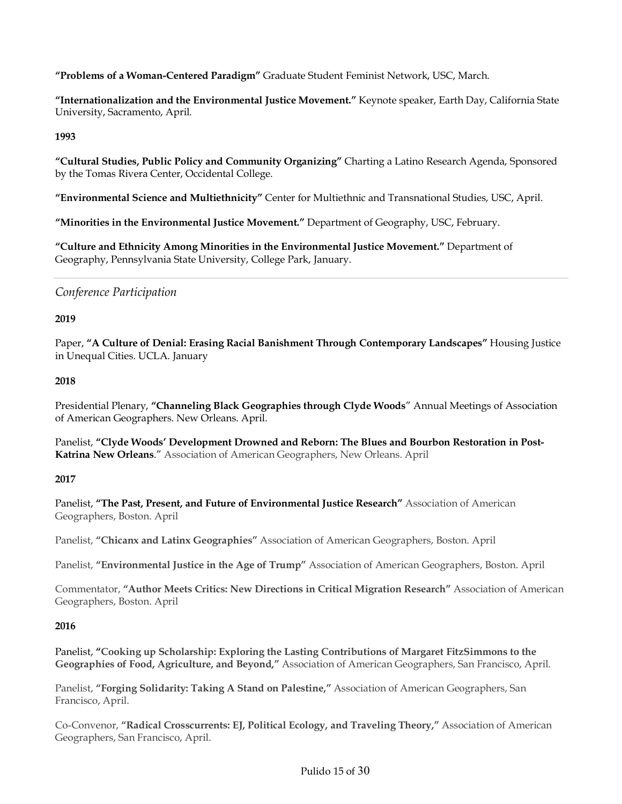**"Problems of a Woman-Centered Paradigm"** Graduate Student Feminist Network, USC, March.

**"Internationalization and the Environmental Justice Movement."** Keynote speaker, Earth Day, California State University, Sacramento, April.

## **1993**

**"Cultural Studies, Public Policy and Community Organizing"** Charting a Latino Research Agenda, Sponsored by the Tomas Rivera Center, Occidental College.

**"Environmental Science and Multiethnicity"** Center for Multiethnic and Transnational Studies, USC, April.

**"Minorities in the Environmental Justice Movement."** Department of Geography, USC, February.

**"Culture and Ethnicity Among Minorities in the Environmental Justice Movement."** Department of Geography, Pennsylvania State University, College Park, January.

## *Conference Participation*

## **2019**

Paper, **"A Culture of Denial: Erasing Racial Banishment Through Contemporary Landscapes"** Housing Justice in Unequal Cities. UCLA. January

## **2018**

Presidential Plenary, **"Channeling Black Geographies through Clyde Woods**" Annual Meetings of Association of American Geographers. New Orleans. April.

Panelist, **"Clyde Woods' Development Drowned and Reborn: The Blues and Bourbon Restoration in Post-Katrina New Orleans**." Association of American Geographers, New Orleans. April

## **2017**

Panelist, **"The Past, Present, and Future of Environmental Justice Research"** Association of American Geographers, Boston. April

Panelist, **"Chicanx and Latinx Geographies"** Association of American Geographers, Boston. April

Panelist, **"Environmental Justice in the Age of Trump"** Association of American Geographers, Boston. April

Commentator, **"Author Meets Critics: New Directions in Critical Migration Research"** Association of American Geographers, Boston. April

## **2016**

Panelist, **"Cooking up Scholarship: Exploring the Lasting Contributions of Margaret FitzSimmons to the Geographies of Food, Agriculture, and Beyond,"** Association of American Geographers, San Francisco, April.

Panelist, **"Forging Solidarity: Taking A Stand on Palestine,"** Association of American Geographers, San Francisco, April.

Co-Convenor, **"Radical Crosscurrents: EJ, Political Ecology, and Traveling Theory,"** Association of American Geographers, San Francisco, April.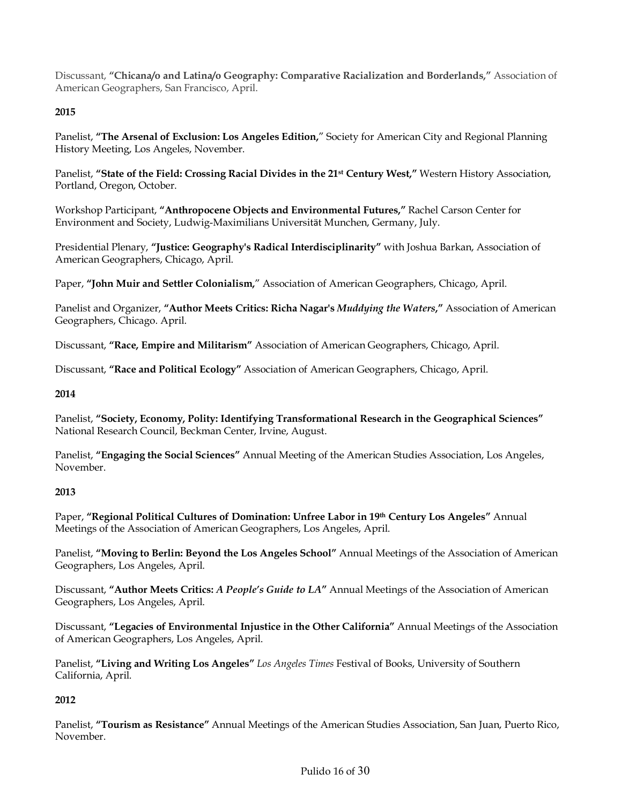Discussant, **"Chicana/o and Latina/o Geography: Comparative Racialization and Borderlands,"** Association of American Geographers, San Francisco, April.

## **2015**

Panelist, **"The Arsenal of Exclusion: Los Angeles Edition,**" Society for American City and Regional Planning History Meeting, Los Angeles, November.

Panelist, **"State of the Field: Crossing Racial Divides in the 21st Century West,"** Western History Association, Portland, Oregon, October.

Workshop Participant, **"Anthropocene Objects and Environmental Futures,"** Rachel Carson Center for Environment and Society, Ludwig-Maximilians Universität Munchen, Germany, July.

Presidential Plenary, **"Justice: Geography's Radical Interdisciplinarity"** with Joshua Barkan, Association of American Geographers, Chicago, April.

Paper, **"John Muir and Settler Colonialism,**" Association of American Geographers, Chicago, April.

Panelist and Organizer, **"Author Meets Critics: Richa Nagar's** *Muddying the Waters***,"** Association of American Geographers, Chicago. April.

Discussant, **"Race, Empire and Militarism"** Association of American Geographers, Chicago, April.

Discussant, **"Race and Political Ecology"** Association of American Geographers, Chicago, April.

#### **2014**

Panelist, **"Society, Economy, Polity: Identifying Transformational Research in the Geographical Sciences"** National Research Council, Beckman Center, Irvine, August.

Panelist, **"Engaging the Social Sciences"** Annual Meeting of the American Studies Association, Los Angeles, November.

## **2013**

Paper, **"Regional Political Cultures of Domination: Unfree Labor in 19th Century Los Angeles"** Annual Meetings of the Association of American Geographers, Los Angeles, April.

Panelist, **"Moving to Berlin: Beyond the Los Angeles School"** Annual Meetings of the Association of American Geographers, Los Angeles, April.

Discussant, **"Author Meets Critics:** *A People's Guide to LA***"** Annual Meetings of the Association of American Geographers, Los Angeles, April.

Discussant, **"Legacies of Environmental Injustice in the Other California"** Annual Meetings of the Association of American Geographers, Los Angeles, April.

Panelist, **"Living and Writing Los Angeles"** *Los Angeles Times* Festival of Books, University of Southern California, April.

## **2012**

Panelist, **"Tourism as Resistance"** Annual Meetings of the American Studies Association, San Juan, Puerto Rico, November.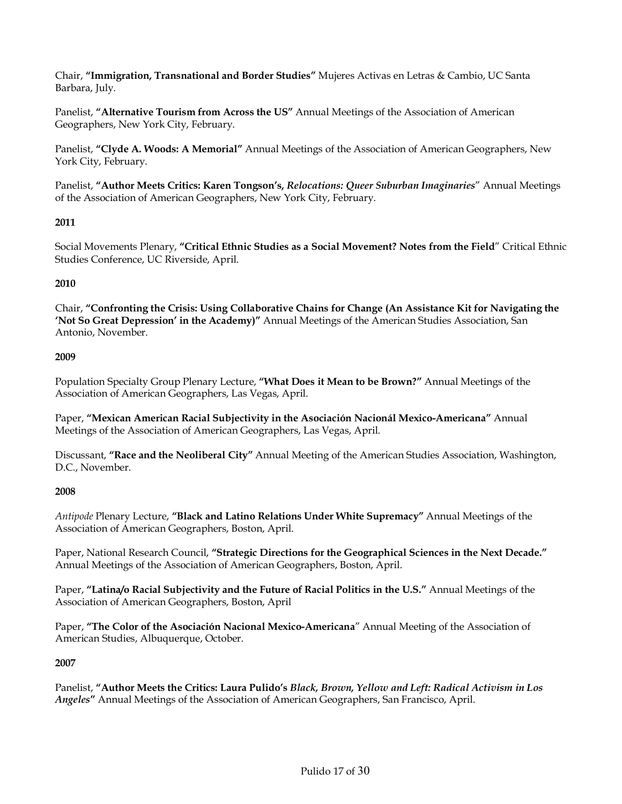Chair, **"Immigration, Transnational and Border Studies"** Mujeres Activas en Letras & Cambio, UC Santa Barbara, July.

Panelist, **"Alternative Tourism from Across the US"** Annual Meetings of the Association of American Geographers, New York City, February.

Panelist, **"Clyde A. Woods: A Memorial"** Annual Meetings of the Association of American Geographers, New York City, February.

Panelist, **"Author Meets Critics: Karen Tongson's,** *Relocations: Queer Suburban Imaginaries*" Annual Meetings of the Association of American Geographers, New York City, February.

## **2011**

Social Movements Plenary, **"Critical Ethnic Studies as a Social Movement? Notes from the Field**" Critical Ethnic Studies Conference, UC Riverside, April.

## **2010**

Chair, **"Confronting the Crisis: Using Collaborative Chains for Change (An Assistance Kit for Navigating the 'Not So Great Depression' in the Academy)"** Annual Meetings of the American Studies Association, San Antonio, November.

#### **2009**

Population Specialty Group Plenary Lecture, **"What Does it Mean to be Brown?"** Annual Meetings of the Association of American Geographers, Las Vegas, April.

Paper, **"Mexican American Racial Subjectivity in the Asociación Nacionál Mexico-Americana"** Annual Meetings of the Association of American Geographers, Las Vegas, April.

Discussant, **"Race and the Neoliberal City"** Annual Meeting of the American Studies Association, Washington, D.C., November.

## **2008**

*Antipode* Plenary Lecture, **"Black and Latino Relations Under White Supremacy"** Annual Meetings of the Association of American Geographers, Boston, April.

Paper, National Research Council, **"Strategic Directions for the Geographical Sciences in the Next Decade."** Annual Meetings of the Association of American Geographers, Boston, April.

Paper, **"Latina/o Racial Subjectivity and the Future of Racial Politics in the U.S."** Annual Meetings of the Association of American Geographers, Boston, April

Paper, **"The Color of the Asociación Nacional Mexico-Americana**" Annual Meeting of the Association of American Studies, Albuquerque, October.

## **2007**

Panelist, **"Author Meets the Critics: Laura Pulido's** *Black, Brown, Yellow and Left: Radical Activism in Los Angeles***"** Annual Meetings of the Association of American Geographers, San Francisco, April.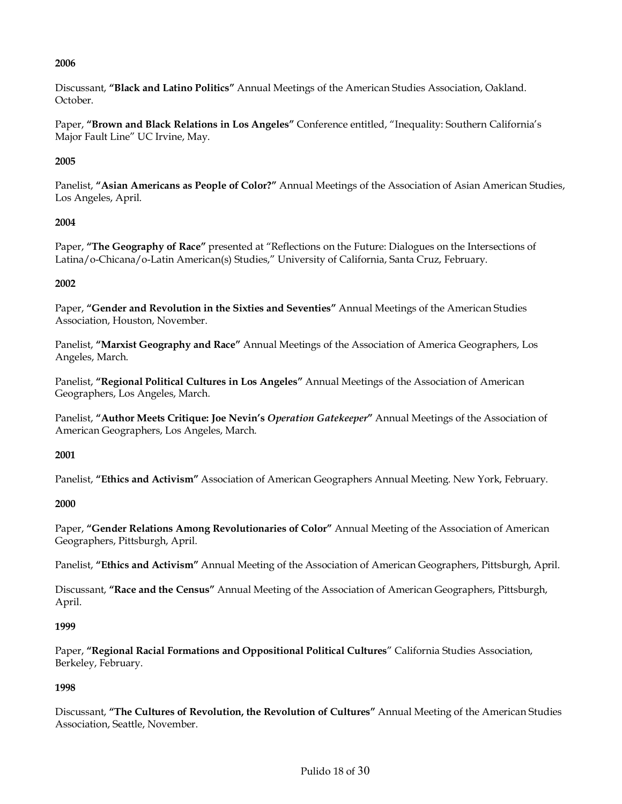Discussant, **"Black and Latino Politics"** Annual Meetings of the American Studies Association, Oakland. October.

Paper, **"Brown and Black Relations in Los Angeles"** Conference entitled, "Inequality: Southern California's Major Fault Line" UC Irvine, May.

## **2005**

Panelist, **"Asian Americans as People of Color?"** Annual Meetings of the Association of Asian American Studies, Los Angeles, April.

## **2004**

Paper, "The Geography of Race" presented at "Reflections on the Future: Dialogues on the Intersections of Latina/o-Chicana/o-Latin American(s) Studies," University of California, Santa Cruz, February.

## **2002**

Paper, **"Gender and Revolution in the Sixties and Seventies"** Annual Meetings of the American Studies Association, Houston, November.

Panelist, **"Marxist Geography and Race"** Annual Meetings of the Association of America Geographers, Los Angeles, March.

Panelist, **"Regional Political Cultures in Los Angeles"** Annual Meetings of the Association of American Geographers, Los Angeles, March.

Panelist, **"Author Meets Critique: Joe Nevin's** *Operation Gatekeeper***"** Annual Meetings of the Association of American Geographers, Los Angeles, March.

## **2001**

Panelist, **"Ethics and Activism"** Association of American Geographers Annual Meeting. New York, February.

## **2000**

Paper, **"Gender Relations Among Revolutionaries of Color"** Annual Meeting of the Association of American Geographers, Pittsburgh, April.

Panelist, **"Ethics and Activism"** Annual Meeting of the Association of American Geographers, Pittsburgh, April.

Discussant, **"Race and the Census"** Annual Meeting of the Association of American Geographers, Pittsburgh, April.

## **1999**

Paper, **"Regional Racial Formations and Oppositional Political Cultures**" California Studies Association, Berkeley, February.

## **1998**

Discussant, **"The Cultures of Revolution, the Revolution of Cultures"** Annual Meeting of the American Studies Association, Seattle, November.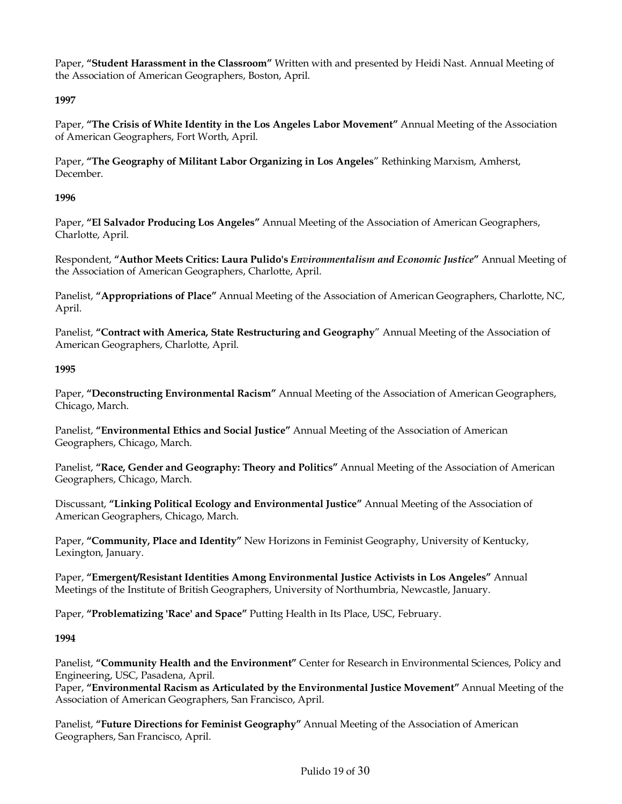Paper, **"Student Harassment in the Classroom"** Written with and presented by Heidi Nast. Annual Meeting of the Association of American Geographers, Boston, April.

## **1997**

Paper, **"The Crisis of White Identity in the Los Angeles Labor Movement"** Annual Meeting of the Association of American Geographers, Fort Worth, April.

Paper, **"The Geography of Militant Labor Organizing in Los Angeles**" Rethinking Marxism, Amherst, December.

## **1996**

Paper, **"El Salvador Producing Los Angeles"** Annual Meeting of the Association of American Geographers, Charlotte, April.

Respondent, **"Author Meets Critics: Laura Pulido's** *Environmentalism and Economic Justice***"** Annual Meeting of the Association of American Geographers, Charlotte, April.

Panelist, **"Appropriations of Place"** Annual Meeting of the Association of American Geographers, Charlotte, NC, April.

Panelist, **"Contract with America, State Restructuring and Geography**" Annual Meeting of the Association of American Geographers, Charlotte, April.

#### **1995**

Paper, **"Deconstructing Environmental Racism"** Annual Meeting of the Association of American Geographers, Chicago, March.

Panelist, **"Environmental Ethics and Social Justice"** Annual Meeting of the Association of American Geographers, Chicago, March.

Panelist, **"Race, Gender and Geography: Theory and Politics"** Annual Meeting of the Association of American Geographers, Chicago, March.

Discussant, **"Linking Political Ecology and Environmental Justice"** Annual Meeting of the Association of American Geographers, Chicago, March.

Paper, **"Community, Place and Identity"** New Horizons in Feminist Geography, University of Kentucky, Lexington, January.

Paper, **"Emergent/Resistant Identities Among Environmental Justice Activists in Los Angeles"** Annual Meetings of the Institute of British Geographers, University of Northumbria, Newcastle, January.

Paper, **"Problematizing 'Race' and Space"** Putting Health in Its Place, USC, February.

## **1994**

Panelist, **"Community Health and the Environment"** Center for Research in Environmental Sciences, Policy and Engineering, USC, Pasadena, April.

Paper, **"Environmental Racism as Articulated by the Environmental Justice Movement"** Annual Meeting of the Association of American Geographers, San Francisco, April.

Panelist, **"Future Directions for Feminist Geography"** Annual Meeting of the Association of American Geographers, San Francisco, April.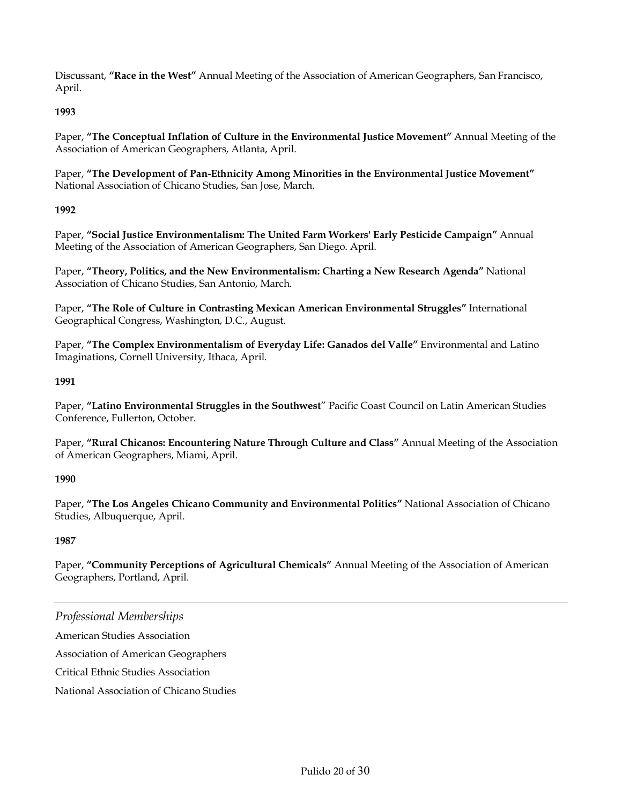Discussant, **"Race in the West"** Annual Meeting of the Association of American Geographers, San Francisco, April.

## **1993**

Paper, **"The Conceptual Inflation of Culture in the Environmental Justice Movement"** Annual Meeting of the Association of American Geographers, Atlanta, April.

Paper, **"The Development of Pan-Ethnicity Among Minorities in the Environmental Justice Movement"** National Association of Chicano Studies, San Jose, March.

## **1992**

Paper, **"Social Justice Environmentalism: The United Farm Workers' Early Pesticide Campaign"** Annual Meeting of the Association of American Geographers, San Diego. April.

Paper, **"Theory, Politics, and the New Environmentalism: Charting a New Research Agenda"** National Association of Chicano Studies, San Antonio, March.

Paper, **"The Role of Culture in Contrasting Mexican American Environmental Struggles"** International Geographical Congress, Washington, D.C., August.

Paper, **"The Complex Environmentalism of Everyday Life: Ganados del Valle"** Environmental and Latino Imaginations, Cornell University, Ithaca, April.

## **1991**

Paper, **"Latino Environmental Struggles in the Southwest**" Pacific Coast Council on Latin American Studies Conference, Fullerton, October.

Paper, **"Rural Chicanos: Encountering Nature Through Culture and Class"** Annual Meeting of the Association of American Geographers, Miami, April.

## **1990**

Paper, **"The Los Angeles Chicano Community and Environmental Politics"** National Association of Chicano Studies, Albuquerque, April.

## **1987**

Paper, **"Community Perceptions of Agricultural Chemicals"** Annual Meeting of the Association of American Geographers, Portland, April.

## *Professional Memberships*

American Studies Association

Association of American Geographers

Critical Ethnic Studies Association

National Association of Chicano Studies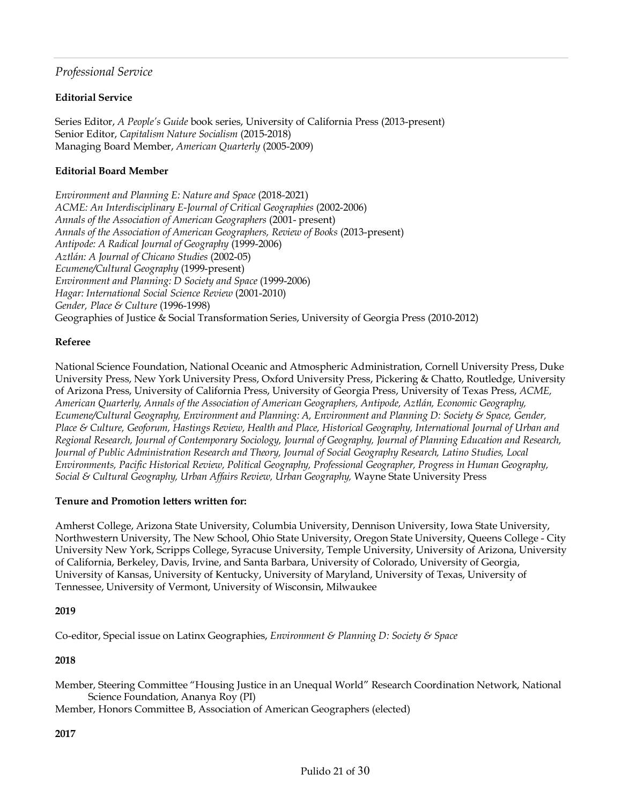## *Professional Service*

## **Editorial Service**

Series Editor, *A People's Guide* book series, University of California Press (2013-present) Senior Editor, *Capitalism Nature Socialism* (2015-2018) Managing Board Member, *American Quarterly* (2005-2009)

## **Editorial Board Member**

*Environment and Planning E: Nature and Space* (2018-2021) *ACME: An Interdisciplinary E-Journal of Critical Geographies* (2002-2006) *Annals of the Association of American Geographers* (2001- present) *Annals of the Association of American Geographers, Review of Books* (2013-present) *Antipode: A Radical Journal of Geography* (1999-2006) *Aztlán: A Journal of Chicano Studies* (2002-05) *Ecumene/Cultural Geography* (1999-present) *Environment and Planning: D Society and Space* (1999-2006) *Hagar: International Social Science Review* (2001-2010) *Gender, Place & Culture* (1996-1998) Geographies of Justice & Social Transformation Series, University of Georgia Press (2010-2012)

## **Referee**

National Science Foundation, National Oceanic and Atmospheric Administration, Cornell University Press, Duke University Press, New York University Press, Oxford University Press, Pickering & Chatto, Routledge, University of Arizona Press, University of California Press, University of Georgia Press, University of Texas Press, *ACME, American Quarterly, Annals of the Association of American Geographers, Antipode, Aztlán, Economic Geography, Ecumene/Cultural Geography, Environment and Planning: A, Environment and Planning D: Society & Space, Gender, Place & Culture, Geoforum, Hastings Review, Health and Place, Historical Geography, International Journal of Urban and Regional Research, Journal of Contemporary Sociology, Journal of Geography, Journal of Planning Education and Research, Journal of Public Administration Research and Theory, Journal of Social Geography Research, Latino Studies, Local Environments, Pacific Historical Review, Political Geography, Professional Geographer, Progress in Human Geography, Social & Cultural Geography, Urban Affairs Review, Urban Geography,* Wayne State University Press

## **Tenure and Promotion letters written for:**

Amherst College, Arizona State University, Columbia University, Dennison University, Iowa State University, Northwestern University, The New School, Ohio State University, Oregon State University, Queens College - City University New York, Scripps College, Syracuse University, Temple University, University of Arizona, University of California, Berkeley, Davis, Irvine, and Santa Barbara, University of Colorado, University of Georgia, University of Kansas, University of Kentucky, University of Maryland, University of Texas, University of Tennessee, University of Vermont, University of Wisconsin, Milwaukee

## **2019**

Co-editor, Special issue on Latinx Geographies, *Environment & Planning D: Society & Space*

## **2018**

Member, Steering Committee "Housing Justice in an Unequal World" Research Coordination Network, National Science Foundation, Ananya Roy (PI)

Member, Honors Committee B, Association of American Geographers (elected)

**2017**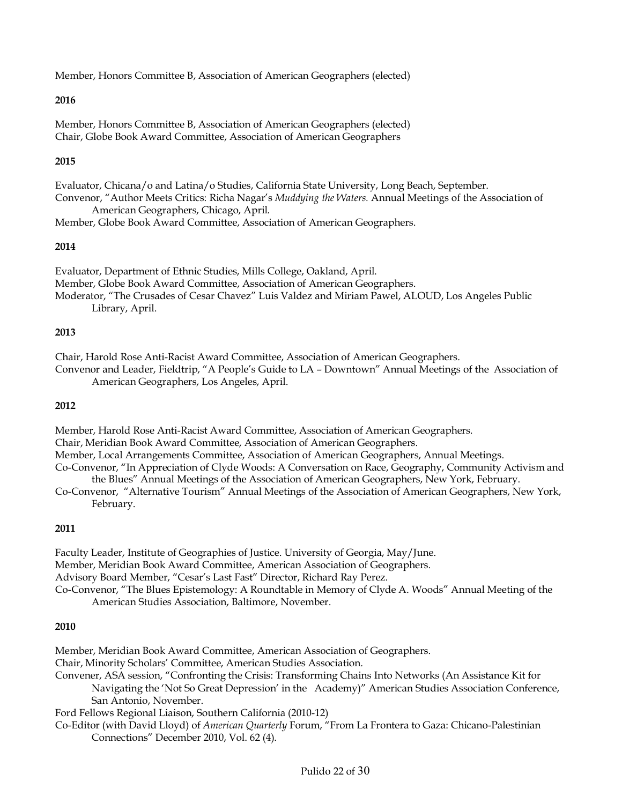Member, Honors Committee B, Association of American Geographers (elected)

## **2016**

Member, Honors Committee B, Association of American Geographers (elected) Chair, Globe Book Award Committee, Association of American Geographers

#### **2015**

Evaluator, Chicana/o and Latina/o Studies, California State University, Long Beach, September. Convenor, "Author Meets Critics: Richa Nagar's *Muddying the Waters.* Annual Meetings of the Association of

American Geographers, Chicago, April*.*

Member, Globe Book Award Committee, Association of American Geographers.

#### **2014**

Evaluator, Department of Ethnic Studies, Mills College, Oakland, April. Member, Globe Book Award Committee, Association of American Geographers. Moderator, "The Crusades of Cesar Chavez" Luis Valdez and Miriam Pawel, ALOUD, Los Angeles Public Library, April.

#### **2013**

Chair, Harold Rose Anti-Racist Award Committee, Association of American Geographers.

Convenor and Leader, Fieldtrip, "A People's Guide to LA – Downtown" Annual Meetings of the Association of American Geographers, Los Angeles, April.

#### **2012**

Member, Harold Rose Anti-Racist Award Committee, Association of American Geographers.

Chair, Meridian Book Award Committee, Association of American Geographers.

Member, Local Arrangements Committee, Association of American Geographers, Annual Meetings.

Co-Convenor, "In Appreciation of Clyde Woods: A Conversation on Race, Geography, Community Activism and the Blues" Annual Meetings of the Association of American Geographers, New York, February.

Co-Convenor, "Alternative Tourism" Annual Meetings of the Association of American Geographers, New York, February.

## **2011**

Faculty Leader, Institute of Geographies of Justice. University of Georgia, May/June. Member, Meridian Book Award Committee, American Association of Geographers. Advisory Board Member, "Cesar's Last Fast" Director, Richard Ray Perez. Co-Convenor, "The Blues Epistemology: A Roundtable in Memory of Clyde A. Woods" Annual Meeting of the American Studies Association, Baltimore, November.

#### **2010**

Member, Meridian Book Award Committee, American Association of Geographers. Chair, Minority Scholars' Committee, American Studies Association. Convener, ASA session, "Confronting the Crisis: Transforming Chains Into Networks (An Assistance Kit for Navigating the 'Not So Great Depression' in the Academy)" American Studies Association Conference, San Antonio, November. Ford Fellows Regional Liaison, Southern California (2010-12) Co-Editor (with David Lloyd) of *American Quarterly* Forum, "From La Frontera to Gaza: Chicano-Palestinian Connections" December 2010, Vol. 62 (4).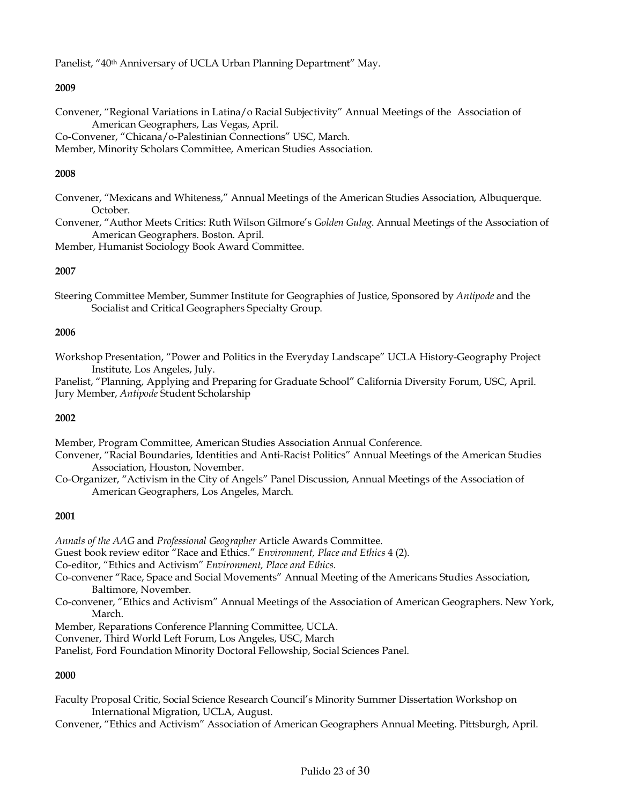Panelist, "40th Anniversary of UCLA Urban Planning Department" May.

#### **2009**

Convener, "Regional Variations in Latina/o Racial Subjectivity" Annual Meetings of the Association of American Geographers, Las Vegas, April.

Co-Convener, "Chicana/o-Palestinian Connections" USC, March.

Member, Minority Scholars Committee, American Studies Association.

#### **2008**

- Convener, "Mexicans and Whiteness," Annual Meetings of the American Studies Association, Albuquerque. October.
- Convener, "Author Meets Critics: Ruth Wilson Gilmore's *Golden Gulag*. Annual Meetings of the Association of American Geographers. Boston. April.

Member, Humanist Sociology Book Award Committee.

#### **2007**

Steering Committee Member, Summer Institute for Geographies of Justice, Sponsored by *Antipode* and the Socialist and Critical Geographers Specialty Group.

#### **2006**

Workshop Presentation, "Power and Politics in the Everyday Landscape" UCLA History-Geography Project Institute, Los Angeles, July.

Panelist, "Planning, Applying and Preparing for Graduate School" California Diversity Forum, USC, April. Jury Member, *Antipode* Student Scholarship

#### **2002**

Member, Program Committee, American Studies Association Annual Conference.

- Convener, "Racial Boundaries, Identities and Anti-Racist Politics" Annual Meetings of the American Studies Association, Houston, November.
- Co-Organizer, "Activism in the City of Angels" Panel Discussion, Annual Meetings of the Association of American Geographers, Los Angeles, March.

#### **2001**

*Annals of the AAG* and *Professional Geographer* Article Awards Committee. Guest book review editor "Race and Ethics." *Environment, Place and Ethics* 4 (2). Co-editor, "Ethics and Activism" *Environment, Place and Ethics*. Co-convener "Race, Space and Social Movements" Annual Meeting of the Americans Studies Association, Baltimore, November. Co-convener, "Ethics and Activism" Annual Meetings of the Association of American Geographers. New York, March. Member, Reparations Conference Planning Committee, UCLA. Convener, Third World Left Forum, Los Angeles, USC, March

Panelist, Ford Foundation Minority Doctoral Fellowship, Social Sciences Panel.

## **2000**

- Faculty Proposal Critic, Social Science Research Council's Minority Summer Dissertation Workshop on International Migration, UCLA, August.
- Convener, "Ethics and Activism" Association of American Geographers Annual Meeting. Pittsburgh, April.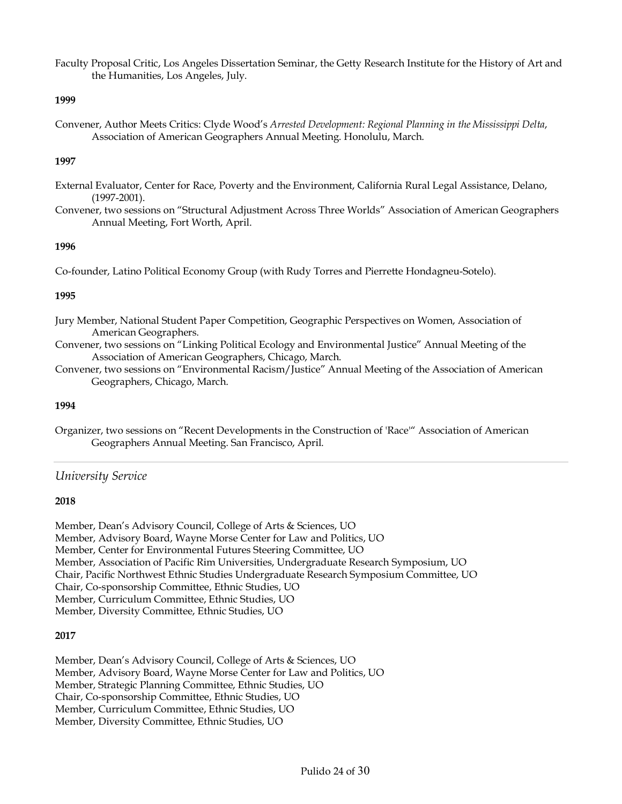Faculty Proposal Critic, Los Angeles Dissertation Seminar, the Getty Research Institute for the History of Art and the Humanities, Los Angeles, July.

#### **1999**

Convener, Author Meets Critics: Clyde Wood's *Arrested Development: Regional Planning in the Mississippi Delta*, Association of American Geographers Annual Meeting. Honolulu, March.

#### **1997**

- External Evaluator, Center for Race, Poverty and the Environment, California Rural Legal Assistance, Delano, (1997-2001).
- Convener, two sessions on "Structural Adjustment Across Three Worlds" Association of American Geographers Annual Meeting, Fort Worth, April.

#### **1996**

Co-founder, Latino Political Economy Group (with Rudy Torres and Pierrette Hondagneu-Sotelo).

#### **1995**

- Jury Member, National Student Paper Competition, Geographic Perspectives on Women, Association of American Geographers.
- Convener, two sessions on "Linking Political Ecology and Environmental Justice" Annual Meeting of the Association of American Geographers, Chicago, March.
- Convener, two sessions on "Environmental Racism/Justice" Annual Meeting of the Association of American Geographers, Chicago, March.

#### **1994**

Organizer, two sessions on "Recent Developments in the Construction of 'Race'" Association of American Geographers Annual Meeting. San Francisco, April.

## *University Service*

#### **2018**

Member, Dean's Advisory Council, College of Arts & Sciences, UO Member, Advisory Board, Wayne Morse Center for Law and Politics, UO Member, Center for Environmental Futures Steering Committee, UO Member, Association of Pacific Rim Universities, Undergraduate Research Symposium, UO Chair, Pacific Northwest Ethnic Studies Undergraduate Research Symposium Committee, UO Chair, Co-sponsorship Committee, Ethnic Studies, UO Member, Curriculum Committee, Ethnic Studies, UO Member, Diversity Committee, Ethnic Studies, UO

#### **2017**

Member, Dean's Advisory Council, College of Arts & Sciences, UO Member, Advisory Board, Wayne Morse Center for Law and Politics, UO Member, Strategic Planning Committee, Ethnic Studies, UO Chair, Co-sponsorship Committee, Ethnic Studies, UO Member, Curriculum Committee, Ethnic Studies, UO Member, Diversity Committee, Ethnic Studies, UO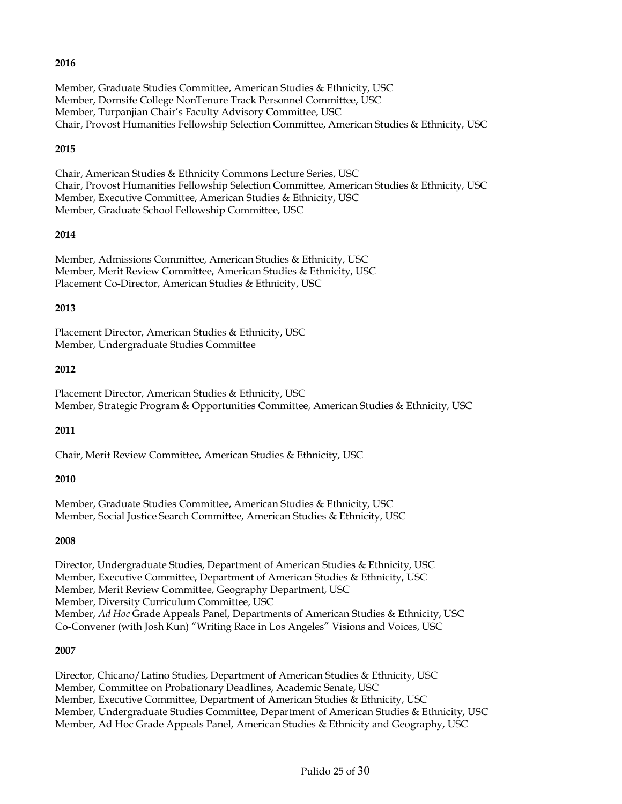Member, Graduate Studies Committee, American Studies & Ethnicity, USC Member, Dornsife College NonTenure Track Personnel Committee, USC Member, Turpanjian Chair's Faculty Advisory Committee, USC Chair, Provost Humanities Fellowship Selection Committee, American Studies & Ethnicity, USC

#### **2015**

Chair, American Studies & Ethnicity Commons Lecture Series, USC Chair, Provost Humanities Fellowship Selection Committee, American Studies & Ethnicity, USC Member, Executive Committee, American Studies & Ethnicity, USC Member, Graduate School Fellowship Committee, USC

## **2014**

Member, Admissions Committee, American Studies & Ethnicity, USC Member, Merit Review Committee, American Studies & Ethnicity, USC Placement Co-Director, American Studies & Ethnicity, USC

#### **2013**

Placement Director, American Studies & Ethnicity, USC Member, Undergraduate Studies Committee

#### **2012**

Placement Director, American Studies & Ethnicity, USC Member, Strategic Program & Opportunities Committee, American Studies & Ethnicity, USC

## **2011**

Chair, Merit Review Committee, American Studies & Ethnicity, USC

#### **2010**

Member, Graduate Studies Committee, American Studies & Ethnicity, USC Member, Social Justice Search Committee, American Studies & Ethnicity, USC

#### **2008**

Director, Undergraduate Studies, Department of American Studies & Ethnicity, USC Member, Executive Committee, Department of American Studies & Ethnicity, USC Member, Merit Review Committee, Geography Department, USC Member, Diversity Curriculum Committee, USC Member, *Ad Hoc* Grade Appeals Panel, Departments of American Studies & Ethnicity, USC Co-Convener (with Josh Kun) "Writing Race in Los Angeles" Visions and Voices, USC

## **2007**

Director, Chicano/Latino Studies, Department of American Studies & Ethnicity, USC Member, Committee on Probationary Deadlines, Academic Senate, USC Member, Executive Committee, Department of American Studies & Ethnicity, USC Member, Undergraduate Studies Committee, Department of American Studies & Ethnicity, USC Member, Ad Hoc Grade Appeals Panel, American Studies & Ethnicity and Geography, USC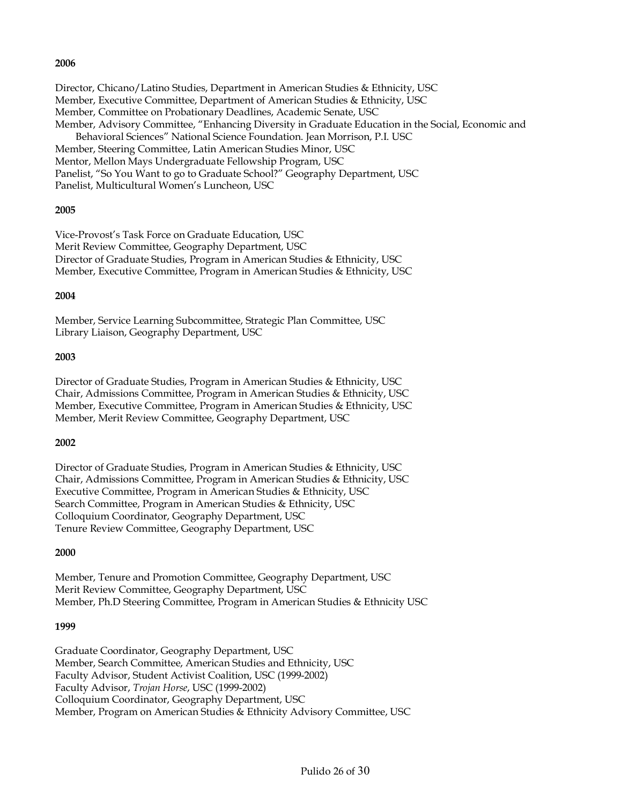Director, Chicano/Latino Studies, Department in American Studies & Ethnicity, USC Member, Executive Committee, Department of American Studies & Ethnicity, USC Member, Committee on Probationary Deadlines, Academic Senate, USC Member, Advisory Committee, "Enhancing Diversity in Graduate Education in the Social, Economic and Behavioral Sciences" National Science Foundation. Jean Morrison, P.I. USC Member, Steering Committee, Latin American Studies Minor, USC Mentor, Mellon Mays Undergraduate Fellowship Program, USC Panelist, "So You Want to go to Graduate School?" Geography Department, USC Panelist, Multicultural Women's Luncheon, USC

#### **2005**

Vice-Provost's Task Force on Graduate Education, USC Merit Review Committee, Geography Department, USC Director of Graduate Studies, Program in American Studies & Ethnicity, USC Member, Executive Committee, Program in American Studies & Ethnicity, USC

#### **2004**

Member, Service Learning Subcommittee, Strategic Plan Committee, USC Library Liaison, Geography Department, USC

#### **2003**

Director of Graduate Studies, Program in American Studies & Ethnicity, USC Chair, Admissions Committee, Program in American Studies & Ethnicity, USC Member, Executive Committee, Program in American Studies & Ethnicity, USC Member, Merit Review Committee, Geography Department, USC

#### **2002**

Director of Graduate Studies, Program in American Studies & Ethnicity, USC Chair, Admissions Committee, Program in American Studies & Ethnicity, USC Executive Committee, Program in American Studies & Ethnicity, USC Search Committee, Program in American Studies & Ethnicity, USC Colloquium Coordinator, Geography Department, USC Tenure Review Committee, Geography Department, USC

#### **2000**

Member, Tenure and Promotion Committee, Geography Department, USC Merit Review Committee, Geography Department, USC Member, Ph.D Steering Committee, Program in American Studies & Ethnicity USC

#### **1999**

Graduate Coordinator, Geography Department, USC Member, Search Committee, American Studies and Ethnicity, USC Faculty Advisor, Student Activist Coalition, USC (1999-2002) Faculty Advisor, *Trojan Horse*, USC (1999-2002) Colloquium Coordinator, Geography Department, USC Member, Program on American Studies & Ethnicity Advisory Committee, USC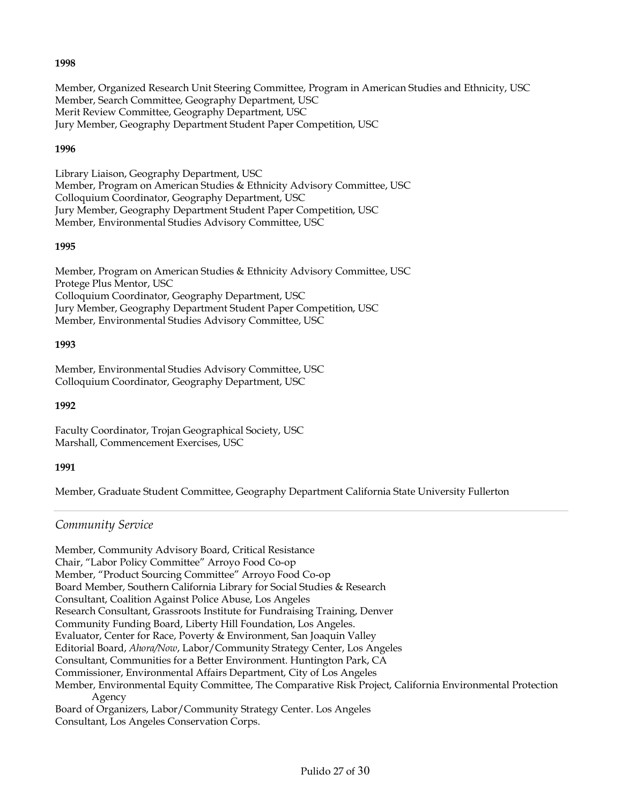Member, Organized Research Unit Steering Committee, Program in American Studies and Ethnicity, USC Member, Search Committee, Geography Department, USC Merit Review Committee, Geography Department, USC Jury Member, Geography Department Student Paper Competition, USC

## **1996**

Library Liaison, Geography Department, USC Member, Program on American Studies & Ethnicity Advisory Committee, USC Colloquium Coordinator, Geography Department, USC Jury Member, Geography Department Student Paper Competition, USC Member, Environmental Studies Advisory Committee, USC

## **1995**

Member, Program on American Studies & Ethnicity Advisory Committee, USC Protege Plus Mentor, USC Colloquium Coordinator, Geography Department, USC Jury Member, Geography Department Student Paper Competition, USC Member, Environmental Studies Advisory Committee, USC

## **1993**

Member, Environmental Studies Advisory Committee, USC Colloquium Coordinator, Geography Department, USC

#### **1992**

Faculty Coordinator, Trojan Geographical Society, USC Marshall, Commencement Exercises, USC

## **1991**

Member, Graduate Student Committee, Geography Department California State University Fullerton

## *Community Service*

Member, Community Advisory Board, Critical Resistance Chair, "Labor Policy Committee" Arroyo Food Co-op Member, "Product Sourcing Committee" Arroyo Food Co-op Board Member, Southern California Library for Social Studies & Research Consultant, Coalition Against Police Abuse, Los Angeles Research Consultant, Grassroots Institute for Fundraising Training, Denver Community Funding Board, Liberty Hill Foundation, Los Angeles. Evaluator, Center for Race, Poverty & Environment, San Joaquin Valley Editorial Board, *Ahora/Now*, Labor/Community Strategy Center, Los Angeles Consultant, Communities for a Better Environment. Huntington Park, CA Commissioner, Environmental Affairs Department, City of Los Angeles Member, Environmental Equity Committee, The Comparative Risk Project, California Environmental Protection Agency Board of Organizers, Labor/Community Strategy Center. Los Angeles Consultant, Los Angeles Conservation Corps.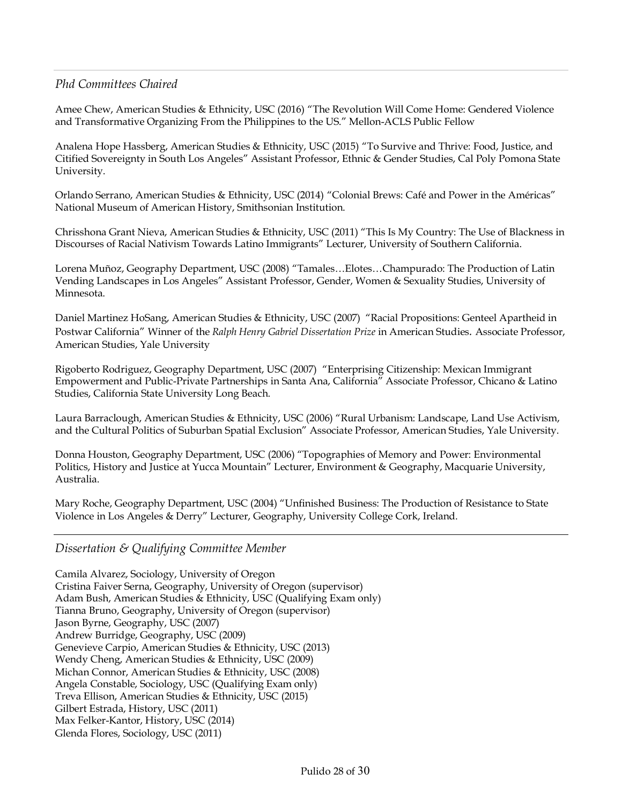## *Phd Committees Chaired*

Amee Chew, American Studies & Ethnicity, USC (2016) "The Revolution Will Come Home: Gendered Violence and Transformative Organizing From the Philippines to the US." Mellon-ACLS Public Fellow

Analena Hope Hassberg, American Studies & Ethnicity, USC (2015) "To Survive and Thrive: Food, Justice, and Citified Sovereignty in South Los Angeles" Assistant Professor, Ethnic & Gender Studies, Cal Poly Pomona State University.

Orlando Serrano, American Studies & Ethnicity, USC (2014) "Colonial Brews: Café and Power in the Américas" National Museum of American History, Smithsonian Institution.

Chrisshona Grant Nieva, American Studies & Ethnicity, USC (2011) "This Is My Country: The Use of Blackness in Discourses of Racial Nativism Towards Latino Immigrants" Lecturer, University of Southern California.

Lorena Muñoz, Geography Department, USC (2008) "Tamales…Elotes…Champurado: The Production of Latin Vending Landscapes in Los Angeles" Assistant Professor, Gender, Women & Sexuality Studies, University of Minnesota.

Daniel Martinez HoSang, American Studies & Ethnicity, USC (2007) "Racial Propositions: Genteel Apartheid in Postwar California" Winner of the *Ralph Henry Gabriel Dissertation Prize* in American Studies*.* Associate Professor, American Studies, Yale University

Rigoberto Rodriguez, Geography Department, USC (2007) "Enterprising Citizenship: Mexican Immigrant Empowerment and Public-Private Partnerships in Santa Ana, California" Associate Professor, Chicano & Latino Studies, California State University Long Beach.

Laura Barraclough, American Studies & Ethnicity, USC (2006) "Rural Urbanism: Landscape, Land Use Activism, and the Cultural Politics of Suburban Spatial Exclusion" Associate Professor, American Studies, Yale University.

Donna Houston, Geography Department, USC (2006) "Topographies of Memory and Power: Environmental Politics, History and Justice at Yucca Mountain" Lecturer, Environment & Geography, Macquarie University, Australia.

Mary Roche, Geography Department, USC (2004) "Unfinished Business: The Production of Resistance to State Violence in Los Angeles & Derry" Lecturer, Geography, University College Cork, Ireland.

## *Dissertation & Qualifying Committee Member*

Camila Alvarez, Sociology, University of Oregon Cristina Faiver Serna, Geography, University of Oregon (supervisor) Adam Bush, American Studies & Ethnicity, USC (Qualifying Exam only) Tianna Bruno, Geography, University of Oregon (supervisor) Jason Byrne, Geography, USC (2007) Andrew Burridge, Geography, USC (2009) Genevieve Carpio, American Studies & Ethnicity, USC (2013) Wendy Cheng, American Studies & Ethnicity, USC (2009) Michan Connor, American Studies & Ethnicity, USC (2008) Angela Constable, Sociology, USC (Qualifying Exam only) Treva Ellison, American Studies & Ethnicity, USC (2015) Gilbert Estrada, History, USC (2011) Max Felker-Kantor, History, USC (2014) Glenda Flores, Sociology, USC (2011)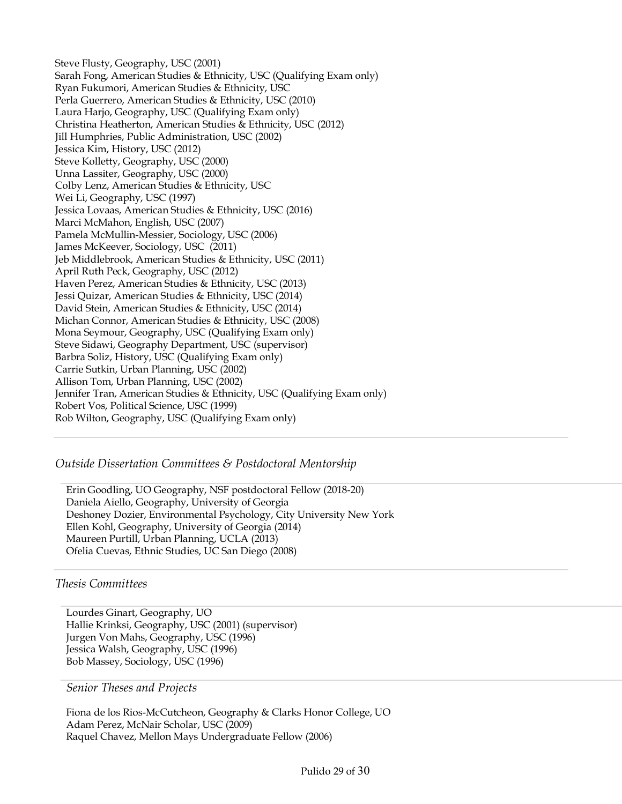Steve Flusty, Geography, USC (2001) Sarah Fong, American Studies & Ethnicity, USC (Qualifying Exam only) Ryan Fukumori, American Studies & Ethnicity, USC Perla Guerrero, American Studies & Ethnicity, USC (2010) Laura Harjo, Geography, USC (Qualifying Exam only) Christina Heatherton, American Studies & Ethnicity, USC (2012) Jill Humphries, Public Administration, USC (2002) Jessica Kim, History, USC (2012) Steve Kolletty, Geography, USC (2000) Unna Lassiter, Geography, USC (2000) Colby Lenz, American Studies & Ethnicity, USC Wei Li, Geography, USC (1997) Jessica Lovaas, American Studies & Ethnicity, USC (2016) Marci McMahon, English, USC (2007) Pamela McMullin-Messier, Sociology, USC (2006) James McKeever, Sociology, USC (2011) Jeb Middlebrook, American Studies & Ethnicity, USC (2011) April Ruth Peck, Geography, USC (2012) Haven Perez, American Studies & Ethnicity, USC (2013) Jessi Quizar, American Studies & Ethnicity, USC (2014) David Stein, American Studies & Ethnicity, USC (2014) Michan Connor, American Studies & Ethnicity, USC (2008) Mona Seymour, Geography, USC (Qualifying Exam only) Steve Sidawi, Geography Department, USC (supervisor) Barbra Soliz, History, USC (Qualifying Exam only) Carrie Sutkin, Urban Planning, USC (2002) Allison Tom, Urban Planning, USC (2002) Jennifer Tran, American Studies & Ethnicity, USC (Qualifying Exam only) Robert Vos, Political Science, USC (1999) Rob Wilton, Geography, USC (Qualifying Exam only)

## *Outside Dissertation Committees & Postdoctoral Mentorship*

Erin Goodling, UO Geography, NSF postdoctoral Fellow (2018-20) Daniela Aiello, Geography, University of Georgia Deshoney Dozier, Environmental Psychology, City University New York Ellen Kohl, Geography, University of Georgia (2014) Maureen Purtill, Urban Planning, UCLA (2013) Ofelia Cuevas, Ethnic Studies, UC San Diego (2008)

## *Thesis Committees*

Lourdes Ginart, Geography, UO Hallie Krinksi, Geography, USC (2001) (supervisor) Jurgen Von Mahs, Geography, USC (1996) Jessica Walsh, Geography, USC (1996) Bob Massey, Sociology, USC (1996)

#### *Senior Theses and Projects*

Fiona de los Rios-McCutcheon, Geography & Clarks Honor College, UO Adam Perez, McNair Scholar, USC (2009) Raquel Chavez, Mellon Mays Undergraduate Fellow (2006)